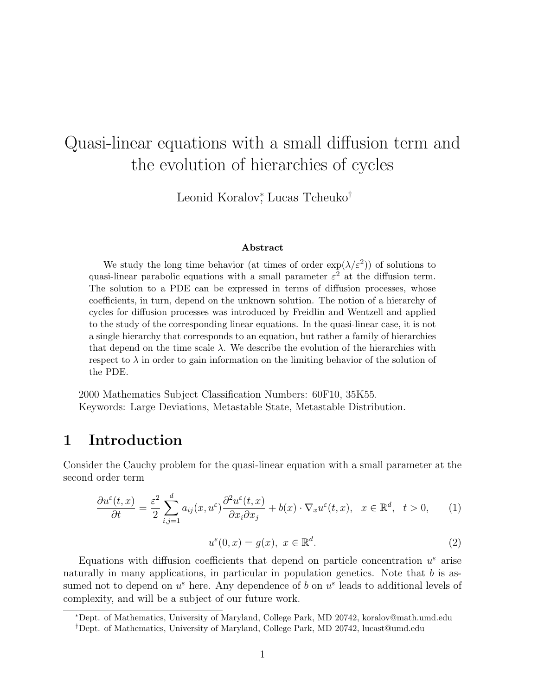# Quasi-linear equations with a small diffusion term and the evolution of hierarchies of cycles

Leonid Koralov<sup>\*</sup>, Lucas Tcheuko<sup>†</sup>

#### Abstract

We study the long time behavior (at times of order  $\exp(\lambda/\varepsilon^2)$ ) of solutions to quasi-linear parabolic equations with a small parameter  $\varepsilon^2$  at the diffusion term. The solution to a PDE can be expressed in terms of diffusion processes, whose coefficients, in turn, depend on the unknown solution. The notion of a hierarchy of cycles for diffusion processes was introduced by Freidlin and Wentzell and applied to the study of the corresponding linear equations. In the quasi-linear case, it is not a single hierarchy that corresponds to an equation, but rather a family of hierarchies that depend on the time scale  $\lambda$ . We describe the evolution of the hierarchies with respect to  $\lambda$  in order to gain information on the limiting behavior of the solution of the PDE.

2000 Mathematics Subject Classification Numbers: 60F10, 35K55. Keywords: Large Deviations, Metastable State, Metastable Distribution.

### 1 Introduction

Consider the Cauchy problem for the quasi-linear equation with a small parameter at the second order term

$$
\frac{\partial u^{\varepsilon}(t,x)}{\partial t} = \frac{\varepsilon^2}{2} \sum_{i,j=1}^{d} a_{ij}(x, u^{\varepsilon}) \frac{\partial^2 u^{\varepsilon}(t,x)}{\partial x_i \partial x_j} + b(x) \cdot \nabla_x u^{\varepsilon}(t,x), \quad x \in \mathbb{R}^d, \quad t > 0,
$$
 (1)

$$
u^{\varepsilon}(0, x) = g(x), \ x \in \mathbb{R}^d. \tag{2}
$$

Equations with diffusion coefficients that depend on particle concentration  $u^{\varepsilon}$  arise naturally in many applications, in particular in population genetics. Note that  $b$  is assumed not to depend on  $u^{\varepsilon}$  here. Any dependence of b on  $u^{\varepsilon}$  leads to additional levels of complexity, and will be a subject of our future work.

<sup>∗</sup>Dept. of Mathematics, University of Maryland, College Park, MD 20742, koralov@math.umd.edu

<sup>†</sup>Dept. of Mathematics, University of Maryland, College Park, MD 20742, lucast@umd.edu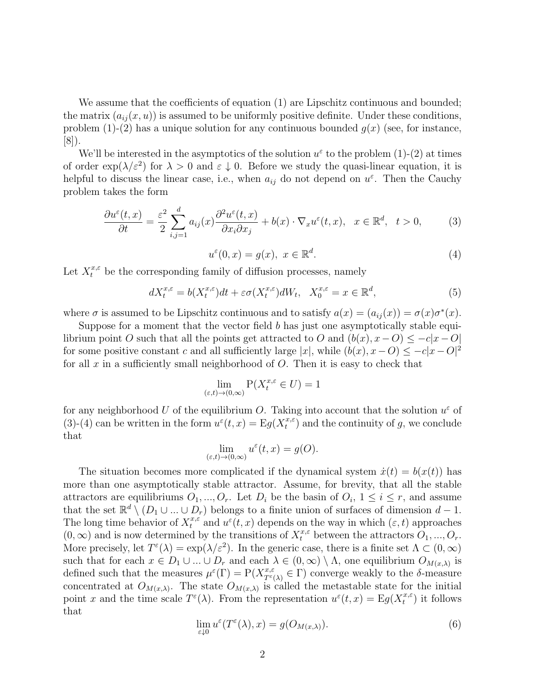We assume that the coefficients of equation  $(1)$  are Lipschitz continuous and bounded; the matrix  $(a_{ij}(x, u))$  is assumed to be uniformly positive definite. Under these conditions, problem  $(1)-(2)$  has a unique solution for any continuous bounded  $g(x)$  (see, for instance, [8]).

We'll be interested in the asymptotics of the solution  $u^{\varepsilon}$  to the problem (1)-(2) at times of order  $\exp(\lambda/\varepsilon^2)$  for  $\lambda > 0$  and  $\varepsilon \downarrow 0$ . Before we study the quasi-linear equation, it is helpful to discuss the linear case, i.e., when  $a_{ij}$  do not depend on  $u^{\varepsilon}$ . Then the Cauchy problem takes the form

$$
\frac{\partial u^{\varepsilon}(t,x)}{\partial t} = \frac{\varepsilon^2}{2} \sum_{i,j=1}^{d} a_{ij}(x) \frac{\partial^2 u^{\varepsilon}(t,x)}{\partial x_i \partial x_j} + b(x) \cdot \nabla_x u^{\varepsilon}(t,x), \quad x \in \mathbb{R}^d, \quad t > 0,
$$
 (3)

$$
u^{\varepsilon}(0, x) = g(x), \ x \in \mathbb{R}^d. \tag{4}
$$

Let  $X_t^{x,\varepsilon}$  be the corresponding family of diffusion processes, namely

$$
dX_t^{x,\varepsilon} = b(X_t^{x,\varepsilon})dt + \varepsilon \sigma(X_t^{x,\varepsilon})dW_t, \quad X_0^{x,\varepsilon} = x \in \mathbb{R}^d,
$$
\n<sup>(5)</sup>

where  $\sigma$  is assumed to be Lipschitz continuous and to satisfy  $a(x) = (a_{ij}(x)) = \sigma(x)\sigma^*(x)$ .

Suppose for a moment that the vector field  $b$  has just one asymptotically stable equilibrium point O such that all the points get attracted to O and  $(b(x), x - O) \leq -c|x - O|$ for some positive constant c and all sufficiently large  $|x|$ , while  $(b(x), x - O) \leq -c|x - O|^2$ for all  $x$  in a sufficiently small neighborhood of  $O$ . Then it is easy to check that

$$
\lim_{(\varepsilon,t)\to(0,\infty)} P(X_t^{x,\varepsilon} \in U) = 1
$$

for any neighborhood U of the equilibrium O. Taking into account that the solution  $u^{\varepsilon}$  of (3)-(4) can be written in the form  $u^{\varepsilon}(t,x) = \mathrm{E}g(X_t^{x,\varepsilon})$  $_t^{x,\varepsilon}$  and the continuity of g, we conclude that

$$
\lim_{(\varepsilon,t)\to(0,\infty)}u^{\varepsilon}(t,x)=g(O).
$$

The situation becomes more complicated if the dynamical system  $\dot{x}(t) = b(x(t))$  has more than one asymptotically stable attractor. Assume, for brevity, that all the stable attractors are equilibriums  $O_1, ..., O_r$ . Let  $D_i$  be the basin of  $O_i$ ,  $1 \leq i \leq r$ , and assume that the set  $\mathbb{R}^d \setminus (D_1 \cup ... \cup D_r)$  belongs to a finite union of surfaces of dimension  $d-1$ . The long time behavior of  $X_t^{x,\varepsilon}$  and  $u^{\varepsilon}(t,x)$  depends on the way in which  $(\varepsilon, t)$  approaches  $(0, \infty)$  and is now determined by the transitions of  $X_t^{x, \varepsilon}$  between the attractors  $O_1, ..., O_r$ . More precisely, let  $T^{\varepsilon}(\lambda) = \exp(\lambda/\varepsilon^2)$ . In the generic case, there is a finite set  $\Lambda \subset (0,\infty)$ such that for each  $x \in D_1 \cup ... \cup D_r$  and each  $\lambda \in (0, \infty) \setminus \Lambda$ , one equilibrium  $O_{M(x,\lambda)}$  is defined such that the measures  $\mu^{\varepsilon}(\Gamma) = P(X_{T^{\varepsilon}(\lambda)}^{x,\varepsilon} \in \Gamma)$  converge weakly to the  $\delta$ -measure concentrated at  $O_{M(x,\lambda)}$ . The state  $O_{M(x,\lambda)}$  is called the metastable state for the initial point x and the time scale  $T^{\varepsilon}(\lambda)$ . From the representation  $u^{\varepsilon}(t,x) = \mathrm{E}g(X_t^{x,\varepsilon})$  $t^{x,\varepsilon}$  it follows that

$$
\lim_{\varepsilon \downarrow 0} u^{\varepsilon}(T^{\varepsilon}(\lambda), x) = g(O_{M(x,\lambda)}).
$$
\n(6)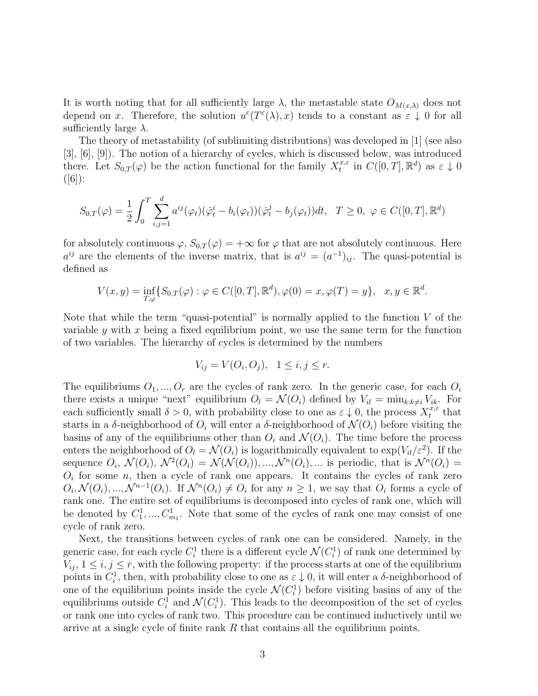It is worth noting that for all sufficiently large  $\lambda$ , the metastable state  $O_{M(x,\lambda)}$  does not depend on x. Therefore, the solution  $u^{\varepsilon}(T^{\varepsilon}(\lambda),x)$  tends to a constant as  $\varepsilon \downarrow 0$  for all sufficiently large  $\lambda$ .

The theory of metastability (of sublimiting distributions) was developed in [1] (see also [3], [6], [9]). The notion of a hierarchy of cycles, which is discussed below, was introduced there. Let  $S_{0,T}(\varphi)$  be the action functional for the family  $X_t^{x,\varepsilon}$  $t^{x,\varepsilon}$  in  $C([0,T],\mathbb{R}^d)$  as  $\varepsilon \downarrow 0$  $(|6|):$ 

$$
S_{0,T}(\varphi) = \frac{1}{2} \int_0^T \sum_{i,j=1}^d a^{ij}(\varphi_t) (\dot{\varphi}_t^i - b_i(\varphi_t)) (\dot{\varphi}_t^j - b_j(\varphi_t)) dt, \quad T \ge 0, \ \varphi \in C([0,T], \mathbb{R}^d)
$$

for absolutely continuous  $\varphi$ ,  $S_{0,T}(\varphi) = +\infty$  for  $\varphi$  that are not absolutely continuous. Here  $a^{ij}$  are the elements of the inverse matrix, that is  $a^{ij} = (a^{-1})_{ij}$ . The quasi-potential is defined as

$$
V(x, y) = \inf_{T, \varphi} \{ S_{0,T}(\varphi) : \varphi \in C([0, T], \mathbb{R}^d), \varphi(0) = x, \varphi(T) = y \}, \quad x, y \in \mathbb{R}^d.
$$

Note that while the term "quasi-potential" is normally applied to the function  $V$  of the variable y with x being a fixed equilibrium point, we use the same term for the function of two variables. The hierarchy of cycles is determined by the numbers

$$
V_{ij} = V(O_i, O_j), \quad 1 \le i, j \le r.
$$

The equilibriums  $O_1, ..., O_r$  are the cycles of rank zero. In the generic case, for each  $O_i$ there exists a unique "next" equilibrium  $O_l = \mathcal{N}(O_i)$  defined by  $V_{il} = \min_{k:k\neq i} V_{ik}$ . For each sufficiently small  $\delta > 0$ , with probability close to one as  $\varepsilon \downarrow 0$ , the process  $X_t^{x,\varepsilon}$  $t^{x,\varepsilon}$  that starts in a δ-neighborhood of  $O_i$  will enter a δ-neighborhood of  $\mathcal{N}(O_i)$  before visiting the basins of any of the equilibriums other than  $O_i$  and  $\mathcal{N}(O_i)$ . The time before the process enters the neighborhood of  $O_l = \mathcal{N}(O_i)$  is logarithmically equivalent to  $\exp(V_{il}/\varepsilon^2)$ . If the sequence  $O_i$ ,  $\mathcal{N}(O_i)$ ,  $\mathcal{N}^2(O_i) = \mathcal{N}(\mathcal{N}(O_i))$ , ...,  $\mathcal{N}^n(O_i)$ , ... is periodic, that is  $\mathcal{N}^n(O_i)$  =  $O_i$  for some n, then a cycle of rank one appears. It contains the cycles of rank zero  $O_i, \mathcal{N}(O_i), ..., \mathcal{N}^{n-1}(O_i)$ . If  $\mathcal{N}^n(O_i) \neq O_i$  for any  $n \geq 1$ , we say that  $O_i$  forms a cycle of rank one. The entire set of equilibriums is decomposed into cycles of rank one, which will be denoted by  $C_1^1, ..., C_{m_1}^1$ . Note that some of the cycles of rank one may consist of one cycle of rank zero.

Next, the transitions between cycles of rank one can be considered. Namely, in the generic case, for each cycle  $C_i^1$  there is a different cycle  $\mathcal{N}(C_i^1)$  of rank one determined by  $V_{ij}$ ,  $1 \leq i, j \leq r$ , with the following property: if the process starts at one of the equilibrium points in  $C_i^1$ , then, with probability close to one as  $\varepsilon \downarrow 0$ , it will enter a  $\delta$ -neighborhood of one of the equilibrium points inside the cycle  $\mathcal{N}(C_i^1)$  before visiting basins of any of the equilibriums outside  $C_i^1$  and  $\mathcal{N}(C_i^1)$ . This leads to the decomposition of the set of cycles or rank one into cycles of rank two. This procedure can be continued inductively until we arrive at a single cycle of finite rank R that contains all the equilibrium points.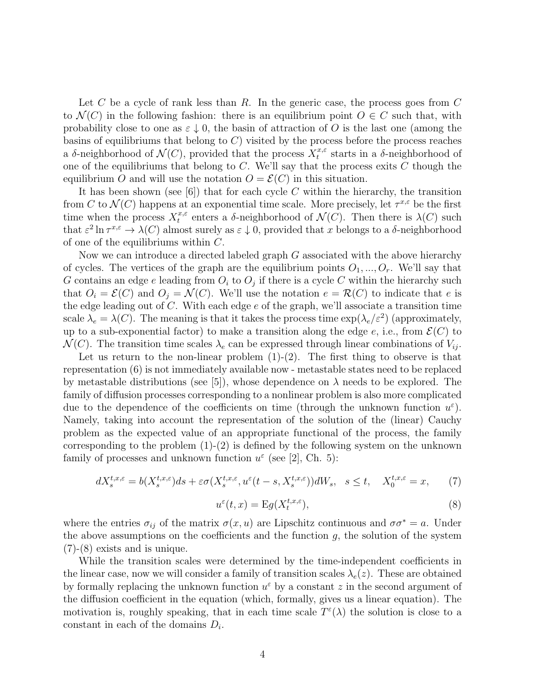Let C be a cycle of rank less than R. In the generic case, the process goes from C to  $\mathcal{N}(C)$  in the following fashion: there is an equilibrium point  $O \in C$  such that, with probability close to one as  $\varepsilon \downarrow 0$ , the basin of attraction of O is the last one (among the basins of equilibriums that belong to  $C$ ) visited by the process before the process reaches a δ-neighborhood of  $\mathcal{N}(C)$ , provided that the process  $X_t^{x,\varepsilon}$  $t^{x,\varepsilon}$  starts in a  $\delta$ -neighborhood of one of the equilibriums that belong to  $C$ . We'll say that the process exits  $C$  though the equilibrium O and will use the notation  $O = \mathcal{E}(C)$  in this situation.

It has been shown (see  $[6]$ ) that for each cycle C within the hierarchy, the transition from C to  $\mathcal{N}(C)$  happens at an exponential time scale. More precisely, let  $\tau^{x,\varepsilon}$  be the first time when the process  $X_t^{x,\varepsilon}$  $t^{x,\varepsilon}$  enters a δ-neighborhood of  $\mathcal{N}(C)$ . Then there is  $\lambda(C)$  such that  $\varepsilon^2 \ln \tau^{x,\varepsilon} \to \lambda(C)$  almost surely as  $\varepsilon \downarrow 0$ , provided that x belongs to a  $\delta$ -neighborhood of one of the equilibriums within C.

Now we can introduce a directed labeled graph  $G$  associated with the above hierarchy of cycles. The vertices of the graph are the equilibrium points  $O_1, ..., O_r$ . We'll say that G contains an edge e leading from  $O_i$  to  $O_j$  if there is a cycle C within the hierarchy such that  $O_i = \mathcal{E}(C)$  and  $O_j = \mathcal{N}(C)$ . We'll use the notation  $e = \mathcal{R}(C)$  to indicate that e is the edge leading out of  $C$ . With each edge  $e$  of the graph, we'll associate a transition time scale  $\lambda_e = \lambda(C)$ . The meaning is that it takes the process time  $\exp(\lambda_e/\varepsilon^2)$  (approximately, up to a sub-exponential factor) to make a transition along the edge  $e$ , i.e., from  $\mathcal{E}(C)$  to  $\mathcal{N}(C)$ . The transition time scales  $\lambda_e$  can be expressed through linear combinations of  $V_{ij}$ .

Let us return to the non-linear problem  $(1)-(2)$ . The first thing to observe is that representation (6) is not immediately available now - metastable states need to be replaced by metastable distributions (see [5]), whose dependence on  $\lambda$  needs to be explored. The family of diffusion processes corresponding to a nonlinear problem is also more complicated due to the dependence of the coefficients on time (through the unknown function  $u^{\varepsilon}$ ). Namely, taking into account the representation of the solution of the (linear) Cauchy problem as the expected value of an appropriate functional of the process, the family corresponding to the problem  $(1)-(2)$  is defined by the following system on the unknown family of processes and unknown function  $u^{\varepsilon}$  (see [2], Ch. 5):

$$
dX_s^{t,x,\varepsilon} = b(X_s^{t,x,\varepsilon})ds + \varepsilon \sigma(X_s^{t,x,\varepsilon}, u^\varepsilon(t-s,X_s^{t,x,\varepsilon}))dW_s, \quad s \le t, \quad X_0^{t,x,\varepsilon} = x,\tag{7}
$$

$$
u^{\varepsilon}(t,x) = \mathcal{E}g(X_t^{t,x,\varepsilon}),\tag{8}
$$

where the entries  $\sigma_{ij}$  of the matrix  $\sigma(x, u)$  are Lipschitz continuous and  $\sigma \sigma^* = a$ . Under the above assumptions on the coefficients and the function  $g$ , the solution of the system (7)-(8) exists and is unique.

While the transition scales were determined by the time-independent coefficients in the linear case, now we will consider a family of transition scales  $\lambda_e(z)$ . These are obtained by formally replacing the unknown function  $u^{\varepsilon}$  by a constant z in the second argument of the diffusion coefficient in the equation (which, formally, gives us a linear equation). The motivation is, roughly speaking, that in each time scale  $T^{\varepsilon}(\lambda)$  the solution is close to a constant in each of the domains  $D_i$ .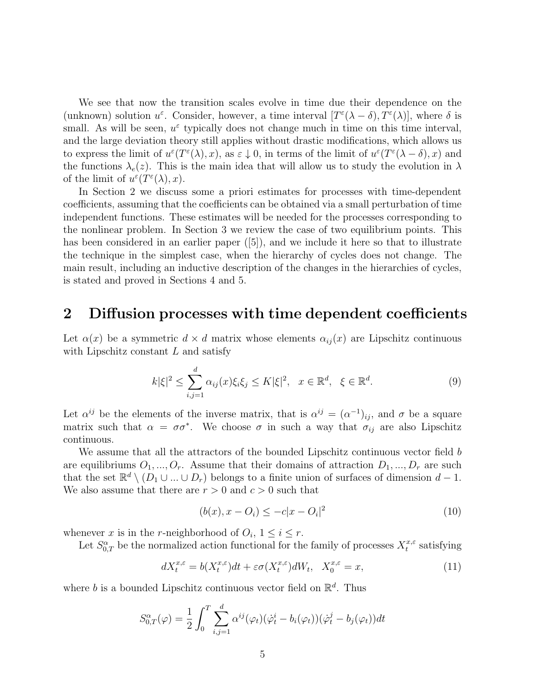We see that now the transition scales evolve in time due their dependence on the (unknown) solution  $u^{\varepsilon}$ . Consider, however, a time interval  $[T^{\varepsilon}(\lambda - \delta), T^{\varepsilon}(\lambda)]$ , where  $\delta$  is small. As will be seen,  $u^{\varepsilon}$  typically does not change much in time on this time interval, and the large deviation theory still applies without drastic modifications, which allows us to express the limit of  $u^{\varepsilon}(T^{\varepsilon}(\lambda),x)$ , as  $\varepsilon \downarrow 0$ , in terms of the limit of  $u^{\varepsilon}(T^{\varepsilon}(\lambda - \delta),x)$  and the functions  $\lambda_e(z)$ . This is the main idea that will allow us to study the evolution in  $\lambda$ of the limit of  $u^{\varepsilon}(T^{\varepsilon}(\lambda),x)$ .

In Section 2 we discuss some a priori estimates for processes with time-dependent coefficients, assuming that the coefficients can be obtained via a small perturbation of time independent functions. These estimates will be needed for the processes corresponding to the nonlinear problem. In Section 3 we review the case of two equilibrium points. This has been considered in an earlier paper ([5]), and we include it here so that to illustrate the technique in the simplest case, when the hierarchy of cycles does not change. The main result, including an inductive description of the changes in the hierarchies of cycles, is stated and proved in Sections 4 and 5.

### 2 Diffusion processes with time dependent coefficients

Let  $\alpha(x)$  be a symmetric  $d \times d$  matrix whose elements  $\alpha_{ij}(x)$  are Lipschitz continuous with Lipschitz constant  $L$  and satisfy

$$
k|\xi|^2 \le \sum_{i,j=1}^d \alpha_{ij}(x)\xi_i\xi_j \le K|\xi|^2, \quad x \in \mathbb{R}^d, \quad \xi \in \mathbb{R}^d. \tag{9}
$$

Let  $\alpha^{ij}$  be the elements of the inverse matrix, that is  $\alpha^{ij} = (\alpha^{-1})_{ij}$ , and  $\sigma$  be a square matrix such that  $\alpha = \sigma \sigma^*$ . We choose  $\sigma$  in such a way that  $\sigma_{ij}$  are also Lipschitz continuous.

We assume that all the attractors of the bounded Lipschitz continuous vector field  $b$ are equilibriums  $O_1, ..., O_r$ . Assume that their domains of attraction  $D_1, ..., D_r$  are such that the set  $\mathbb{R}^d \setminus (D_1 \cup ... \cup D_r)$  belongs to a finite union of surfaces of dimension  $d-1$ . We also assume that there are  $r > 0$  and  $c > 0$  such that

$$
(b(x), x - O_i) \le -c|x - O_i|^2 \tag{10}
$$

whenever x is in the r-neighborhood of  $O_i$ ,  $1 \leq i \leq r$ .

Let  $S^{\alpha}_{0,T}$  be the normalized action functional for the family of processes  $X_t^{x,\varepsilon}$  $t^{x,\varepsilon}$  satisfying

$$
dX_t^{x,\varepsilon} = b(X_t^{x,\varepsilon})dt + \varepsilon \sigma(X_t^{x,\varepsilon})dW_t, \quad X_0^{x,\varepsilon} = x,\tag{11}
$$

where b is a bounded Lipschitz continuous vector field on  $\mathbb{R}^d$ . Thus

$$
S_{0,T}^{\alpha}(\varphi) = \frac{1}{2} \int_0^T \sum_{i,j=1}^d \alpha^{ij}(\varphi_t)(\dot{\varphi}_t^i - b_i(\varphi_t))(\dot{\varphi}_t^j - b_j(\varphi_t))dt
$$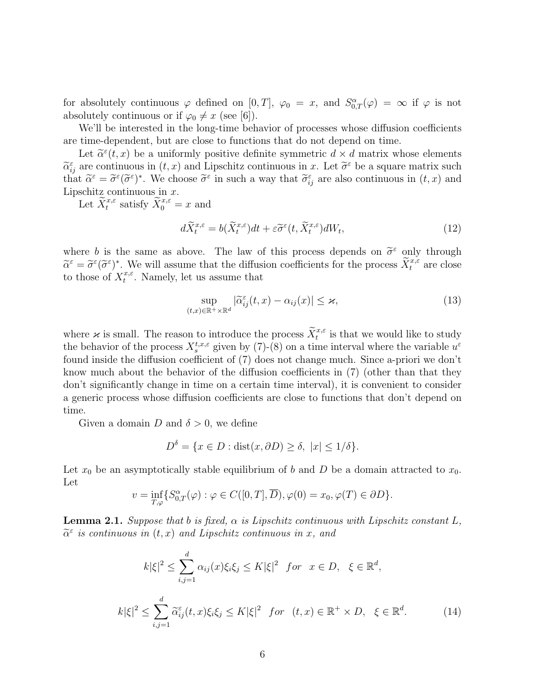for absolutely continuous  $\varphi$  defined on  $[0,T]$ ,  $\varphi_0 = x$ , and  $S^{\alpha}_{0,T}(\varphi) = \infty$  if  $\varphi$  is not absolutely continuous or if  $\varphi_0 \neq x$  (see [6]).

We'll be interested in the long-time behavior of processes whose diffusion coefficients are time-dependent, but are close to functions that do not depend on time.

Let  $\tilde{\alpha}^{\varepsilon}(t, x)$  be a uniformly positive definite symmetric  $d \times d$  matrix whose elements<br>are continuous in  $(t, x)$  and I insolvite continuous in  $x$ . Let  $\tilde{\alpha}^{\varepsilon}$  be a square matrix such  $\widetilde{\alpha}_{ij}^{\varepsilon}$  are continuous in  $(t, x)$  and Lipschitz continuous in x. Let  $\widetilde{\sigma}^{\varepsilon}$  be a square matrix such<br>that  $\widetilde{\alpha}^{\varepsilon} = \widetilde{\sigma}^{\varepsilon}(\widetilde{\sigma}^{\varepsilon})^*$ . We choose  $\widetilde{\sigma}^{\varepsilon}$  in such a way that  $\widetilde{\sigma$ that  $\tilde{\alpha}^{\varepsilon} = \tilde{\sigma}^{\varepsilon}(\tilde{\sigma}^{\varepsilon})^*$ . We choose  $\tilde{\sigma}^{\varepsilon}$  in such a way that  $\tilde{\sigma}_{ij}^{\varepsilon}$  are also continuous in  $(t, x)$  and <br>Linearly continuous in  $x$ Lipschitz continuous in  $x$ .

Let  $\widetilde{X}_t^{x,\varepsilon}$  satisfy  $\widetilde{X}_0^{x,\varepsilon} = x$  and

$$
d\widetilde{X}^{x,\varepsilon}_t = b(\widetilde{X}^{x,\varepsilon}_t)dt + \varepsilon \widetilde{\sigma}^{\varepsilon}(t, \widetilde{X}^{x,\varepsilon}_t)dW_t,
$$
\n(12)

where b is the same as above. The law of this process depends on  $\tilde{\sigma}^{\varepsilon}$  only through  $\tilde{\sigma}^{\varepsilon} - \tilde{\sigma}^{\varepsilon}(\tilde{\sigma}^{\varepsilon})^*$ . We will assume that the diffusion coefficients for the process  $\tilde{Y}^{x,\varepsilon}$  are cl  $\widetilde{\alpha}^{\varepsilon} = \widetilde{\sigma}^{\varepsilon}(\widetilde{\sigma}^{\varepsilon})^*$ . W<br>to those of  $X_t^{x,\varepsilon}$  $\tilde{\epsilon} = \tilde{\sigma}^{\varepsilon}(\tilde{\sigma}^{\varepsilon})^*$ . We will assume that the diffusion coefficients for the process  $\tilde{X}_{t}^{x,\varepsilon}$  are close  $t^{x,\varepsilon}$ . Namely, let us assume that

$$
\sup_{(t,x)\in\mathbb{R}^+\times\mathbb{R}^d}|\widetilde{\alpha}_{ij}^{\varepsilon}(t,x)-\alpha_{ij}(x)|\leq\varkappa,
$$
\n(13)

where  $\kappa$  is small. The reason to introduce the process  $\widetilde{X}^{x,\varepsilon}_t$  is that we would like to study the behavior of the process  $X_s^{t,x,\varepsilon}$  given by (7)-(8) on a time interval where the variable  $u^{\varepsilon}$ found inside the diffusion coefficient of (7) does not change much. Since a-priori we don't know much about the behavior of the diffusion coefficients in (7) (other than that they don't significantly change in time on a certain time interval), it is convenient to consider a generic process whose diffusion coefficients are close to functions that don't depend on time.

Given a domain D and  $\delta > 0$ , we define

$$
D^{\delta} = \{ x \in D : \text{dist}(x, \partial D) \ge \delta, \ |x| \le 1/\delta \}.
$$

Let  $x_0$  be an asymptotically stable equilibrium of b and D be a domain attracted to  $x_0$ . Let

$$
v = \inf_{T,\varphi} \{ S^{\alpha}_{0,T}(\varphi) : \varphi \in C([0,T], \overline{D}), \varphi(0) = x_0, \varphi(T) \in \partial D \}.
$$

**Lemma 2.1.** Suppose that b is fixed,  $\alpha$  is Lipschitz continuous with Lipschitz constant L,  $\tilde{\alpha}^{\varepsilon}$  is continuous in  $(t, x)$  and Lipschitz continuous in x, and

$$
k|\xi|^2 \le \sum_{i,j=1}^d \alpha_{ij}(x)\xi_i\xi_j \le K|\xi|^2 \quad \text{for} \quad x \in D, \quad \xi \in \mathbb{R}^d,
$$
\n
$$
k|\xi|^2 \le \sum_{i,j=1}^d \widetilde{\alpha}_{ij}^{\varepsilon}(t,x)\xi_i\xi_j \le K|\xi|^2 \quad \text{for} \quad (t,x) \in \mathbb{R}^+ \times D, \quad \xi \in \mathbb{R}^d.
$$
\n
$$
(14)
$$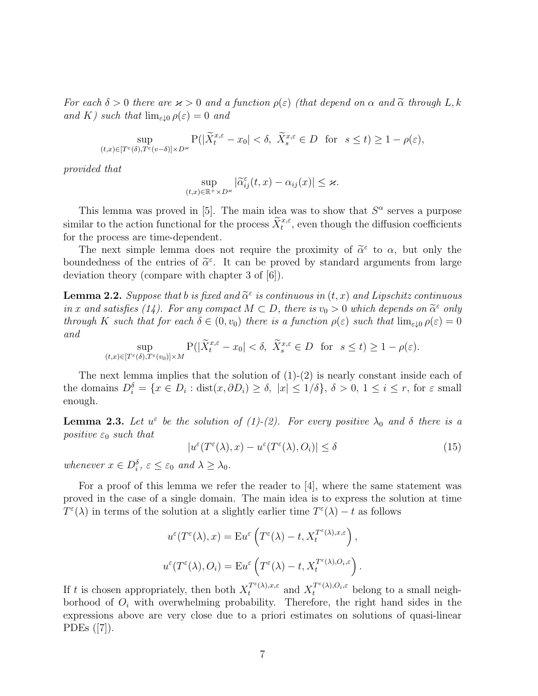For each  $\delta > 0$  there are  $\varkappa > 0$  and a function  $\rho(\varepsilon)$  (that depend on  $\alpha$  and  $\tilde{\alpha}$  through L, k and K) such that  $\lim_{\varepsilon \downarrow 0} \rho(\varepsilon) = 0$  and

$$
\sup_{(t,x)\in[T^\varepsilon(\delta),T^\varepsilon(v-\delta)]\times D^\varepsilon}{\rm P}(|\widetilde X^{x,\varepsilon}_t-x_0|<\delta,\ \widetilde X^{x,\varepsilon}_s\in D\ \ \text{for}\ \ s\leq t)\geq 1-\rho(\varepsilon),
$$

provided that

$$
\sup_{(t,x)\in\mathbb{R}^+\times D^{\varkappa}}|\widetilde{\alpha}_{ij}^{\varepsilon}(t,x)-\alpha_{ij}(x)|\leq \varkappa.
$$

This lemma was proved in [5]. The main idea was to show that  $S^{\alpha}$  serves a purpose similar to the action functional for the process  $\widetilde{X}^{x,\varepsilon}_t$ , even though the diffusion coefficients for the process are time-dependent.

The next simple lemma does not require the proximity of  $\tilde{\alpha}^{\varepsilon}$  to  $\alpha$ , but only the undedness of the entries of  $\tilde{\alpha}^{\varepsilon}$ . It can be proved by standard arguments from large boundedness of the entries of  $\tilde{\alpha}^{\varepsilon}$ . It can be proved by standard arguments from large<br>doviation theory (compare with chapter 3 of [6]) deviation theory (compare with chapter 3 of [6]).

**Lemma 2.2.** Suppose that b is fixed and  $\tilde{\alpha}^{\varepsilon}$  is continuous in  $(t, x)$  and Lipschitz continuous in  $x$  and estimate  $(1)$ . For any compact  $M \subset D$ , there is  $x > 0$  which depends on  $\tilde{\alpha}^{\varepsilon}$  only in x and satisfies (14). For any compact  $M \subset D$ , there is  $v_0 > 0$  which depends on  $\tilde{\alpha}^{\varepsilon}$  only<br>through K such that for each  $\delta \subset (0, v_0)$  there is a function  $\rho(\varepsilon)$  such that  $\lim_{\varepsilon \to 0} \rho(\varepsilon) = 0$ through K such that for each  $\delta \in (0, v_0)$  there is a function  $\rho(\varepsilon)$  such that  $\lim_{\varepsilon \downarrow 0} \rho(\varepsilon) = 0$ and

$$
\sup_{(t,x)\in[T^{\varepsilon}(\delta),T^{\varepsilon}(v_0)]\times M} \mathbf{P}(|\widetilde{X}^{x,\varepsilon}_t - x_0| < \delta, \ \widetilde{X}^{x,\varepsilon}_s \in D \ \ \text{for} \ \ s \le t) \ge 1 - \rho(\varepsilon).
$$

The next lemma implies that the solution of  $(1)-(2)$  is nearly constant inside each of the domains  $D_i^{\delta} = \{x \in D_i : \text{dist}(x, \partial D_i) \ge \delta, |x| \le 1/\delta\}, \delta > 0, 1 \le i \le r$ , for  $\varepsilon$  small enough.

**Lemma 2.3.** Let  $u^{\varepsilon}$  be the solution of (1)-(2). For every positive  $\lambda_0$  and  $\delta$  there is a positive  $\varepsilon_0$  such that

$$
|u^{\varepsilon}(T^{\varepsilon}(\lambda),x) - u^{\varepsilon}(T^{\varepsilon}(\lambda),O_{i})| \le \delta
$$
\n(15)

whenever  $x \in D_i^{\delta}$ ,  $\varepsilon \leq \varepsilon_0$  and  $\lambda \geq \lambda_0$ .

For a proof of this lemma we refer the reader to  $[4]$ , where the same statement was proved in the case of a single domain. The main idea is to express the solution at time  $T^{\varepsilon}(\lambda)$  in terms of the solution at a slightly earlier time  $T^{\varepsilon}(\lambda) - t$  as follows

$$
u^{\varepsilon}(T^{\varepsilon}(\lambda), x) = \mathbf{E}u^{\varepsilon}\left(T^{\varepsilon}(\lambda) - t, X_t^{T^{\varepsilon}(\lambda), x, \varepsilon}\right),
$$
  

$$
u^{\varepsilon}(T^{\varepsilon}(\lambda), O_i) = \mathbf{E}u^{\varepsilon}\left(T^{\varepsilon}(\lambda) - t, X_t^{T^{\varepsilon}(\lambda), O_i, \varepsilon}\right).
$$

If t is chosen appropriately, then both  $X_t^{T^{\varepsilon}(\lambda),x,\varepsilon}$  and  $X_t^{T^{\varepsilon}(\lambda),O_i,\varepsilon}$  belong to a small neighborhood of  $O_i$  with overwhelming probability. Therefore, the right hand sides in the expressions above are very close due to a priori estimates on solutions of quasi-linear PDEs ([7]).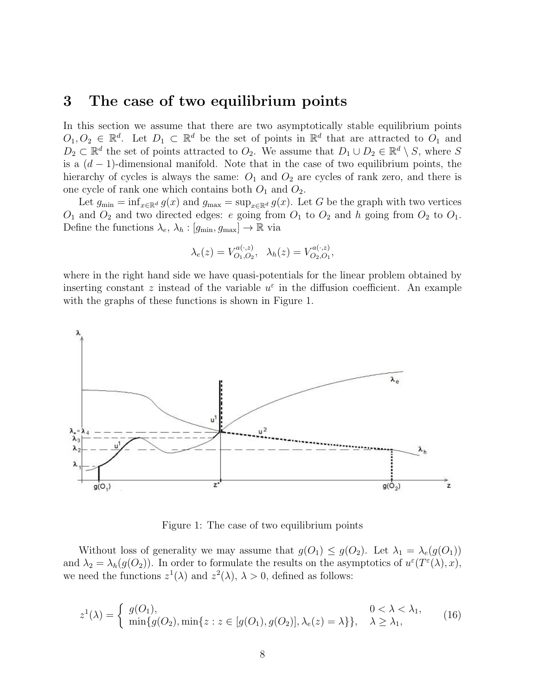### 3 The case of two equilibrium points

In this section we assume that there are two asymptotically stable equilibrium points  $O_1, O_2 \in \mathbb{R}^d$ . Let  $D_1 \subset \mathbb{R}^d$  be the set of points in  $\mathbb{R}^d$  that are attracted to  $O_1$  and  $D_2 \subset \mathbb{R}^d$  the set of points attracted to  $O_2$ . We assume that  $D_1 \cup D_2 \in \mathbb{R}^d \setminus S$ , where S is a  $(d-1)$ -dimensional manifold. Note that in the case of two equilibrium points, the hierarchy of cycles is always the same:  $O_1$  and  $O_2$  are cycles of rank zero, and there is one cycle of rank one which contains both  $O_1$  and  $O_2$ .

Let  $g_{\min} = \inf_{x \in \mathbb{R}^d} g(x)$  and  $g_{\max} = \sup_{x \in \mathbb{R}^d} g(x)$ . Let G be the graph with two vertices  $O_1$  and  $O_2$  and two directed edges: e going from  $O_1$  to  $O_2$  and h going from  $O_2$  to  $O_1$ . Define the functions  $\lambda_e$ ,  $\lambda_h$  :  $[g_{\min}, g_{\max}] \to \mathbb{R}$  via

$$
\lambda_e(z) = V_{O_1, O_2}^{a(\cdot, z)}, \quad \lambda_h(z) = V_{O_2, O_1}^{a(\cdot, z)},
$$

where in the right hand side we have quasi-potentials for the linear problem obtained by inserting constant z instead of the variable  $u^{\varepsilon}$  in the diffusion coefficient. An example with the graphs of these functions is shown in Figure 1.



Figure 1: The case of two equilibrium points

Without loss of generality we may assume that  $g(O_1) \leq g(O_2)$ . Let  $\lambda_1 = \lambda_e(g(O_1))$ and  $\lambda_2 = \lambda_h(g(O_2))$ . In order to formulate the results on the asymptotics of  $u^{\varepsilon}(T^{\varepsilon}(\lambda),x)$ , we need the functions  $z^1(\lambda)$  and  $z^2(\lambda)$ ,  $\lambda > 0$ , defined as follows:

$$
z^{1}(\lambda) = \begin{cases} g(O_{1}), & 0 < \lambda < \lambda_{1}, \\ \min\{g(O_{2}), \min\{z : z \in [g(O_{1}), g(O_{2})], \lambda_{e}(z) = \lambda\}\}, & \lambda \geq \lambda_{1}, \end{cases}
$$
(16)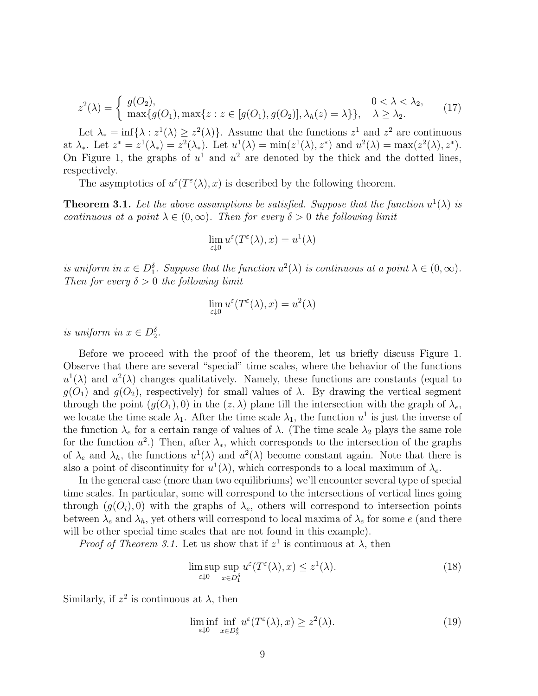$$
z^{2}(\lambda) = \begin{cases} g(O_{2}), & 0 < \lambda < \lambda_{2}, \\ \max\{g(O_{1}), \max\{z : z \in [g(O_{1}), g(O_{2})], \lambda_{h}(z) = \lambda\}\}, & \lambda \geq \lambda_{2}. \end{cases}
$$
(17)

Let  $\lambda_* = \inf \{ \lambda : z^1(\lambda) \geq z^2(\lambda) \}.$  Assume that the functions  $z^1$  and  $z^2$  are continuous at  $\lambda_*$ . Let  $z^* = z^1(\lambda_*) = z^2(\lambda_*)$ . Let  $u^1(\lambda) = \min(z^1(\lambda), z^*)$  and  $u^2(\lambda) = \max(z^2(\lambda), z^*)$ . On Figure 1, the graphs of  $u^1$  and  $u^2$  are denoted by the thick and the dotted lines, respectively.

The asymptotics of  $u^{\varepsilon}(T^{\varepsilon}(\lambda),x)$  is described by the following theorem.

**Theorem 3.1.** Let the above assumptions be satisfied. Suppose that the function  $u^1(\lambda)$  is continuous at a point  $\lambda \in (0,\infty)$ . Then for every  $\delta > 0$  the following limit

$$
\lim_{\varepsilon \downarrow 0} u^{\varepsilon}(T^{\varepsilon}(\lambda), x) = u^{1}(\lambda)
$$

is uniform in  $x \in D_1^{\delta}$ . Suppose that the function  $u^2(\lambda)$  is continuous at a point  $\lambda \in (0, \infty)$ . Then for every  $\delta > 0$  the following limit

$$
\lim_{\varepsilon \downarrow 0} u^{\varepsilon}(T^{\varepsilon}(\lambda), x) = u^2(\lambda)
$$

is uniform in  $x \in D_2^{\delta}$ .

Before we proceed with the proof of the theorem, let us briefly discuss Figure 1. Observe that there are several "special" time scales, where the behavior of the functions  $u^1(\lambda)$  and  $u^2(\lambda)$  changes qualitatively. Namely, these functions are constants (equal to  $q(O_1)$  and  $q(O_2)$ , respectively) for small values of  $\lambda$ . By drawing the vertical segment through the point  $(g(O_1), 0)$  in the  $(z, \lambda)$  plane till the intersection with the graph of  $\lambda_e$ , we locate the time scale  $\lambda_1$ . After the time scale  $\lambda_1$ , the function  $u^1$  is just the inverse of the function  $\lambda_e$  for a certain range of values of  $\lambda$ . (The time scale  $\lambda_2$  plays the same role for the function  $u^2$ .) Then, after  $\lambda_*$ , which corresponds to the intersection of the graphs of  $\lambda_e$  and  $\lambda_h$ , the functions  $u^1(\lambda)$  and  $u^2(\lambda)$  become constant again. Note that there is also a point of discontinuity for  $u^1(\lambda)$ , which corresponds to a local maximum of  $\lambda_e$ .

In the general case (more than two equilibriums) we'll encounter several type of special time scales. In particular, some will correspond to the intersections of vertical lines going through  $(g(O_i), 0)$  with the graphs of  $\lambda_e$ , others will correspond to intersection points between  $\lambda_e$  and  $\lambda_h$ , yet others will correspond to local maxima of  $\lambda_e$  for some e (and there will be other special time scales that are not found in this example).

*Proof of Theorem 3.1.* Let us show that if  $z<sup>1</sup>$  is continuous at  $\lambda$ , then

$$
\limsup_{\varepsilon \downarrow 0} \sup_{x \in D_1^{\delta}} u^{\varepsilon}(T^{\varepsilon}(\lambda), x) \le z^1(\lambda). \tag{18}
$$

Similarly, if  $z^2$  is continuous at  $\lambda$ , then

$$
\liminf_{\varepsilon \downarrow 0} \inf_{x \in D_2^{\delta}} u^{\varepsilon}(T^{\varepsilon}(\lambda), x) \ge z^2(\lambda). \tag{19}
$$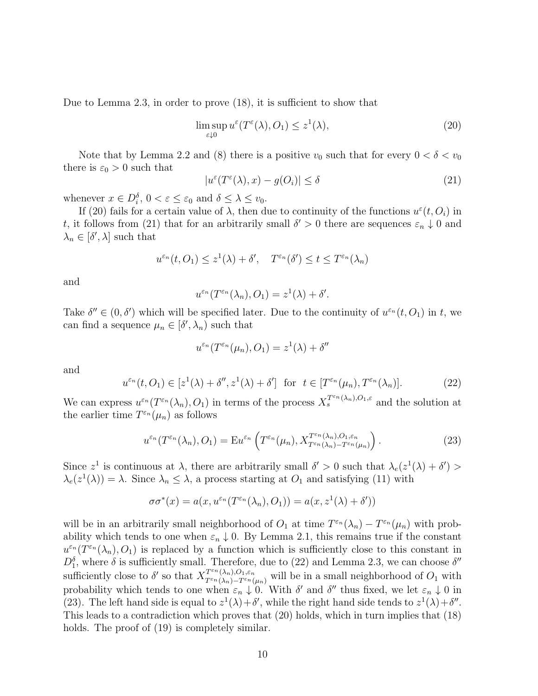Due to Lemma 2.3, in order to prove (18), it is sufficient to show that

$$
\limsup_{\varepsilon \downarrow 0} u^{\varepsilon}(T^{\varepsilon}(\lambda), O_1) \le z^1(\lambda), \tag{20}
$$

Note that by Lemma 2.2 and (8) there is a positive  $v_0$  such that for every  $0 < \delta < v_0$ there is  $\varepsilon_0 > 0$  such that

$$
|u^{\varepsilon}(T^{\varepsilon}(\lambda),x) - g(O_i)| \le \delta \tag{21}
$$

whenever  $x \in D_i^{\delta}$ ,  $0 < \varepsilon \leq \varepsilon_0$  and  $\delta \leq \lambda \leq v_0$ .

If (20) fails for a certain value of  $\lambda$ , then due to continuity of the functions  $u^{\varepsilon}(t, O_i)$  in t, it follows from (21) that for an arbitrarily small  $\delta' > 0$  there are sequences  $\varepsilon_n \downarrow 0$  and  $\lambda_n \in [\delta', \lambda]$  such that

$$
u^{\varepsilon_n}(t, O_1) \le z^1(\lambda) + \delta', \quad T^{\varepsilon_n}(\delta') \le t \le T^{\varepsilon_n}(\lambda_n)
$$

and

$$
u^{\varepsilon_n}(T^{\varepsilon_n}(\lambda_n), O_1) = z^1(\lambda) + \delta'.
$$

Take  $\delta'' \in (0, \delta')$  which will be specified later. Due to the continuity of  $u^{\varepsilon_n}(t, O_1)$  in t, we can find a sequence  $\mu_n \in [\delta', \lambda_n)$  such that

$$
u^{\varepsilon_n}(T^{\varepsilon_n}(\mu_n), O_1) = z^1(\lambda) + \delta''
$$

and

$$
u^{\varepsilon_n}(t, O_1) \in [z^1(\lambda) + \delta'', z^1(\lambda) + \delta'] \text{ for } t \in [T^{\varepsilon_n}(\mu_n), T^{\varepsilon_n}(\lambda_n)].
$$
 (22)

We can express  $u^{\varepsilon_n}(T^{\varepsilon_n}(\lambda_n),O_1)$  in terms of the process  $X_s^{T^{\varepsilon_n}(\lambda_n),O_1,\varepsilon}$  and the solution at the earlier time  $T^{\varepsilon_n}(\mu_n)$  as follows

$$
u^{\varepsilon_n}(T^{\varepsilon_n}(\lambda_n), O_1) = \mathbf{E} u^{\varepsilon_n}\left(T^{\varepsilon_n}(\mu_n), X_{T^{\varepsilon_n}(\lambda_n) - T^{\varepsilon_n}(\mu_n)}^{T^{\varepsilon_n}(\lambda_n), O_1, \varepsilon_n}\right). \tag{23}
$$

Since  $z^1$  is continuous at  $\lambda$ , there are arbitrarily small  $\delta' > 0$  such that  $\lambda_e(z^1(\lambda) + \delta') >$  $\lambda_e(z^1(\lambda)) = \lambda$ . Since  $\lambda_n \leq \lambda$ , a process starting at  $O_1$  and satisfying (11) with

$$
\sigma \sigma^*(x) = a(x, u^{\varepsilon_n}(T^{\varepsilon_n}(\lambda_n), O_1)) = a(x, z^1(\lambda) + \delta'))
$$

will be in an arbitrarily small neighborhood of  $O_1$  at time  $T^{\varepsilon_n}(\lambda_n) - T^{\varepsilon_n}(\mu_n)$  with probability which tends to one when  $\varepsilon_n \downarrow 0$ . By Lemma 2.1, this remains true if the constant  $u^{\varepsilon_n}(T^{\varepsilon_n}(\lambda_n),O_1)$  is replaced by a function which is sufficiently close to this constant in  $D_1^{\delta}$ , where  $\delta$  is sufficiently small. Therefore, due to (22) and Lemma 2.3, we can choose  $\delta''$ 1 sufficiently close to  $\delta'$  so that  $X^{T^{\varepsilon n}(\lambda_n),O_1,\varepsilon_n}_{T^{\varepsilon n}(\lambda_n)-T^{\varepsilon n}(\mu_n)}$  will be in a small neighborhood of  $O_1$  with probability which tends to one when  $\varepsilon_n \downarrow 0$ . With  $\delta'$  and  $\delta''$  thus fixed, we let  $\varepsilon_n \downarrow 0$  in (23). The left hand side is equal to  $z^1(\lambda) + \delta'$ , while the right hand side tends to  $z^1(\lambda) + \delta''$ . This leads to a contradiction which proves that (20) holds, which in turn implies that (18) holds. The proof of  $(19)$  is completely similar.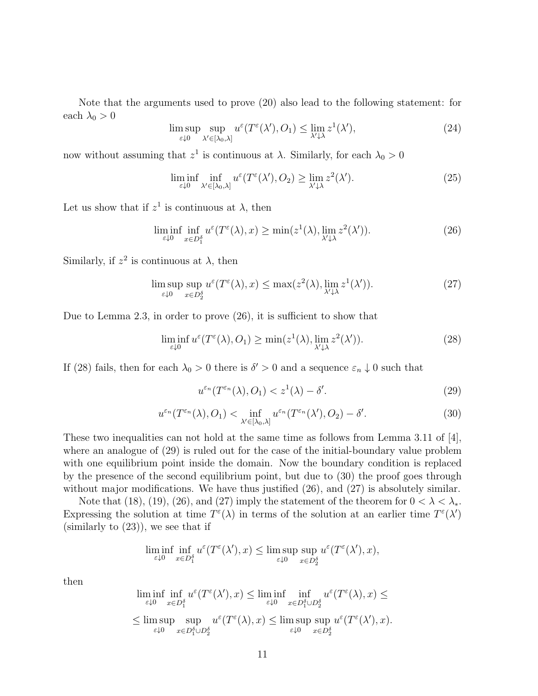Note that the arguments used to prove (20) also lead to the following statement: for each  $\lambda_0 > 0$ 

$$
\limsup_{\varepsilon \downarrow 0} \sup_{\lambda' \in [\lambda_0, \lambda]} u^{\varepsilon}(T^{\varepsilon}(\lambda'), O_1) \le \lim_{\lambda' \downarrow \lambda} z^1(\lambda'), \tag{24}
$$

now without assuming that  $z^1$  is continuous at  $\lambda$ . Similarly, for each  $\lambda_0 > 0$ 

$$
\liminf_{\varepsilon \downarrow 0} \inf_{\lambda' \in [\lambda_0, \lambda]} u^{\varepsilon}(T^{\varepsilon}(\lambda'), O_2) \ge \lim_{\lambda' \downarrow \lambda} z^2(\lambda'). \tag{25}
$$

Let us show that if  $z^1$  is continuous at  $\lambda$ , then

$$
\liminf_{\varepsilon \downarrow 0} \inf_{x \in D_1^{\delta}} u^{\varepsilon}(T^{\varepsilon}(\lambda), x) \ge \min(z^1(\lambda), \lim_{\lambda' \downarrow \lambda} z^2(\lambda')). \tag{26}
$$

Similarly, if  $z^2$  is continuous at  $\lambda$ , then

$$
\limsup_{\varepsilon \downarrow 0} \sup_{x \in D_2^{\delta}} u^{\varepsilon}(T^{\varepsilon}(\lambda), x) \le \max(z^2(\lambda), \lim_{\lambda' \downarrow \lambda} z^1(\lambda')). \tag{27}
$$

Due to Lemma 2.3, in order to prove (26), it is sufficient to show that

$$
\liminf_{\varepsilon \downarrow 0} u^{\varepsilon}(T^{\varepsilon}(\lambda), O_1) \ge \min(z^1(\lambda), \lim_{\lambda' \downarrow \lambda} z^2(\lambda')). \tag{28}
$$

If (28) fails, then for each  $\lambda_0 > 0$  there is  $\delta' > 0$  and a sequence  $\varepsilon_n \downarrow 0$  such that

$$
u^{\varepsilon_n}(T^{\varepsilon_n}(\lambda), O_1) < z^1(\lambda) - \delta'.\tag{29}
$$

$$
u^{\varepsilon_n}(T^{\varepsilon_n}(\lambda), O_1) < \inf_{\lambda' \in [\lambda_0, \lambda]} u^{\varepsilon_n}(T^{\varepsilon_n}(\lambda'), O_2) - \delta'.\tag{30}
$$

These two inequalities can not hold at the same time as follows from Lemma 3.11 of [4], where an analogue of (29) is ruled out for the case of the initial-boundary value problem with one equilibrium point inside the domain. Now the boundary condition is replaced by the presence of the second equilibrium point, but due to (30) the proof goes through without major modifications. We have thus justified  $(26)$ , and  $(27)$  is absolutely similar.

Note that (18), (19), (26), and (27) imply the statement of the theorem for  $0 < \lambda < \lambda_*$ . Expressing the solution at time  $T^{\varepsilon}(\lambda)$  in terms of the solution at an earlier time  $T^{\varepsilon}(\lambda')$ (similarly to (23)), we see that if

$$
\liminf_{\varepsilon \downarrow 0} \inf_{x \in D_1^{\delta}} u^{\varepsilon}(T^{\varepsilon}(\lambda'), x) \le \limsup_{\varepsilon \downarrow 0} \sup_{x \in D_2^{\delta}} u^{\varepsilon}(T^{\varepsilon}(\lambda'), x),
$$

then

$$
\liminf_{\varepsilon \downarrow 0} \inf_{x \in D_1^\delta} u^\varepsilon(T^\varepsilon(\lambda'), x) \le \liminf_{\varepsilon \downarrow 0} \inf_{x \in D_1^\delta \cup D_2^\delta} u^\varepsilon(T^\varepsilon(\lambda), x) \le
$$
  

$$
\le \limsup_{\varepsilon \downarrow 0} \sup_{x \in D_1^\delta \cup D_2^\delta} u^\varepsilon(T^\varepsilon(\lambda), x) \le \limsup_{\varepsilon \downarrow 0} \sup_{x \in D_2^\delta} u^\varepsilon(T^\varepsilon(\lambda'), x).
$$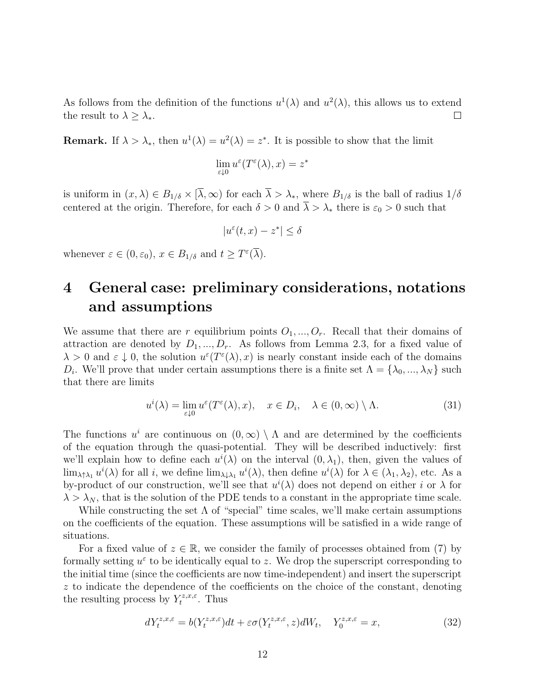As follows from the definition of the functions  $u^1(\lambda)$  and  $u^2(\lambda)$ , this allows us to extend the result to  $\lambda \geq \lambda_*$ .  $\Box$ 

**Remark.** If  $\lambda > \lambda_*$ , then  $u^1(\lambda) = u^2(\lambda) = z^*$ . It is possible to show that the limit

$$
\lim_{\varepsilon \downarrow 0} u^{\varepsilon}(T^{\varepsilon}(\lambda),x) = z^*
$$

is uniform in  $(x, \lambda) \in B_{1/\delta} \times [\overline{\lambda}, \infty)$  for each  $\overline{\lambda} > \lambda_*$ , where  $B_{1/\delta}$  is the ball of radius  $1/\delta$ centered at the origin. Therefore, for each  $\delta > 0$  and  $\overline{\lambda} > \lambda_*$  there is  $\varepsilon_0 > 0$  such that

$$
|u^{\varepsilon}(t,x) - z^*| \le \delta
$$

whenever  $\varepsilon \in (0, \varepsilon_0), x \in B_{1/\delta}$  and  $t \geq T^{\varepsilon}(\overline{\lambda}).$ 

## 4 General case: preliminary considerations, notations and assumptions

We assume that there are r equilibrium points  $O_1, ..., O_r$ . Recall that their domains of attraction are denoted by  $D_1, ..., D_r$ . As follows from Lemma 2.3, for a fixed value of  $\lambda > 0$  and  $\varepsilon \downarrow 0$ , the solution  $u^{\varepsilon}(T^{\varepsilon}(\lambda), x)$  is nearly constant inside each of the domains  $D_i$ . We'll prove that under certain assumptions there is a finite set  $\Lambda = {\lambda_0, ..., \lambda_N}$  such that there are limits

$$
u^{i}(\lambda) = \lim_{\varepsilon \downarrow 0} u^{\varepsilon}(T^{\varepsilon}(\lambda), x), \quad x \in D_{i}, \quad \lambda \in (0, \infty) \setminus \Lambda.
$$
 (31)

The functions  $u^i$  are continuous on  $(0, \infty) \setminus \Lambda$  and are determined by the coefficients of the equation through the quasi-potential. They will be described inductively: first we'll explain how to define each  $u^{i}(\lambda)$  on the interval  $(0, \lambda_1)$ , then, given the values of  $\lim_{\lambda \uparrow \lambda_1} u^i(\lambda)$  for all i, we define  $\lim_{\lambda \downarrow \lambda_1} u^i(\lambda)$ , then define  $u^i(\lambda)$  for  $\lambda \in (\lambda_1, \lambda_2)$ , etc. As a by-product of our construction, we'll see that  $u^{i}(\lambda)$  does not depend on either i or  $\lambda$  for  $\lambda > \lambda_N$ , that is the solution of the PDE tends to a constant in the appropriate time scale.

While constructing the set  $\Lambda$  of "special" time scales, we'll make certain assumptions on the coefficients of the equation. These assumptions will be satisfied in a wide range of situations.

For a fixed value of  $z \in \mathbb{R}$ , we consider the family of processes obtained from (7) by formally setting  $u^{\varepsilon}$  to be identically equal to z. We drop the superscript corresponding to the initial time (since the coefficients are now time-independent) and insert the superscript z to indicate the dependence of the coefficients on the choice of the constant, denoting the resulting process by  $Y_t^{z,x,\varepsilon}$  $\int_t^{z,x,\varepsilon}$ . Thus

$$
dY_t^{z,x,\varepsilon} = b(Y_t^{z,x,\varepsilon})dt + \varepsilon \sigma(Y_t^{z,x,\varepsilon}, z)dW_t, \quad Y_0^{z,x,\varepsilon} = x,\tag{32}
$$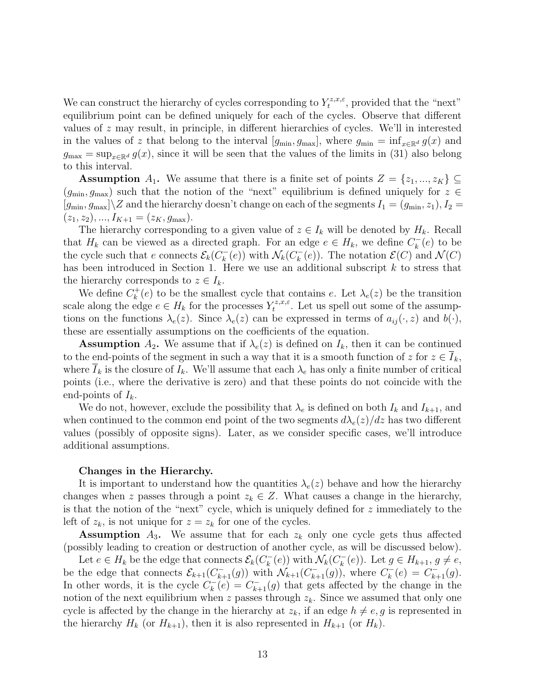We can construct the hierarchy of cycles corresponding to  $Y_t^{z,x,\varepsilon}$  $t^{z,x,\varepsilon}$ , provided that the "next" equilibrium point can be defined uniquely for each of the cycles. Observe that different values of z may result, in principle, in different hierarchies of cycles. We'll in interested in the values of z that belong to the interval  $[g_{\min}, g_{\max}]$ , where  $g_{\min} = \inf_{x \in \mathbb{R}^d} g(x)$  and  $g_{\text{max}} = \sup_{x \in \mathbb{R}^d} g(x)$ , since it will be seen that the values of the limits in (31) also belong to this interval.

**Assumption**  $A_1$ . We assume that there is a finite set of points  $Z = \{z_1, ..., z_K\} \subseteq$  $(g_{\min}, g_{\max})$  such that the notion of the "next" equilibrium is defined uniquely for  $z \in \mathbb{R}$  $[g_{\min}, g_{\max}]\$  and the hierarchy doesn't change on each of the segments  $I_1 = (g_{\min}, z_1), I_2 =$  $(z_1, z_2), ..., I_{K+1} = (z_K, g_{\text{max}}).$ 

The hierarchy corresponding to a given value of  $z \in I_k$  will be denoted by  $H_k$ . Recall that  $H_k$  can be viewed as a directed graph. For an edge  $e \in H_k$ , we define  $C_k^ \binom{r}{k}(e)$  to be the cycle such that e connects  $\mathcal{E}_k(C_k^-)$  $\mathcal{N}_k(c)$  with  $\mathcal{N}_k(C_k^-)$  $\mathcal{E}(\mathcal{E})$ . The notation  $\mathcal{E}(C)$  and  $\mathcal{N}(C)$ has been introduced in Section 1. Here we use an additional subscript  $k$  to stress that the hierarchy corresponds to  $z \in I_k$ .

We define  $C_k^+$  $k(k)$  to be the smallest cycle that contains e. Let  $\lambda_e(z)$  be the transition scale along the edge  $e \in H_k$  for the processes  $Y_t^{z,x,\varepsilon}$ <sup> $\zeta^{z,x,\varepsilon}_{t}$ </sup>. Let us spell out some of the assumptions on the functions  $\lambda_e(z)$ . Since  $\lambda_e(z)$  can be expressed in terms of  $a_{ij}(\cdot, z)$  and  $b(\cdot)$ , these are essentially assumptions on the coefficients of the equation.

**Assumption**  $A_2$ . We assume that if  $\lambda_e(z)$  is defined on  $I_k$ , then it can be continued to the end-points of the segment in such a way that it is a smooth function of z for  $z \in I_k$ , where  $I_k$  is the closure of  $I_k$ . We'll assume that each  $\lambda_e$  has only a finite number of critical points (i.e., where the derivative is zero) and that these points do not coincide with the end-points of  $I_k$ .

We do not, however, exclude the possibility that  $\lambda_e$  is defined on both  $I_k$  and  $I_{k+1}$ , and when continued to the common end point of the two segments  $d\lambda_e(z)/dz$  has two different values (possibly of opposite signs). Later, as we consider specific cases, we'll introduce additional assumptions.

#### Changes in the Hierarchy.

It is important to understand how the quantities  $\lambda_e(z)$  behave and how the hierarchy changes when z passes through a point  $z_k \in Z$ . What causes a change in the hierarchy, is that the notion of the "next" cycle, which is uniquely defined for z immediately to the left of  $z_k$ , is not unique for  $z = z_k$  for one of the cycles.

**Assumption**  $A_3$ . We assume that for each  $z_k$  only one cycle gets thus affected (possibly leading to creation or destruction of another cycle, as will be discussed below).

Let  $e \in H_k$  be the edge that connects  $\mathcal{E}_k(C_k^-)$  $\mathcal{N}_k(c)$  with  $\mathcal{N}_k(C_k^-)$  $k(k)(e)$ . Let  $g \in H_{k+1}, g \neq e$ , be the edge that connects  $\mathcal{E}_{k+1}(C_{k+1}^{-}(g))$  with  $\mathcal{N}_{k+1}(C_{k+1}^{-}(g))$ , where  $C_{k}^{-}$  $C_k^-(e) = C_{k+1}^-(g).$ In other words, it is the cycle  $C_k^$  $k<sub>k</sub><sup>-</sup>(e) = C<sub>k+1</sub><sup>-</sup>(g)$  that gets affected by the change in the notion of the next equilibrium when z passes through  $z_k$ . Since we assumed that only one cycle is affected by the change in the hierarchy at  $z_k$ , if an edge  $h \neq e, g$  is represented in the hierarchy  $H_k$  (or  $H_{k+1}$ ), then it is also represented in  $H_{k+1}$  (or  $H_k$ ).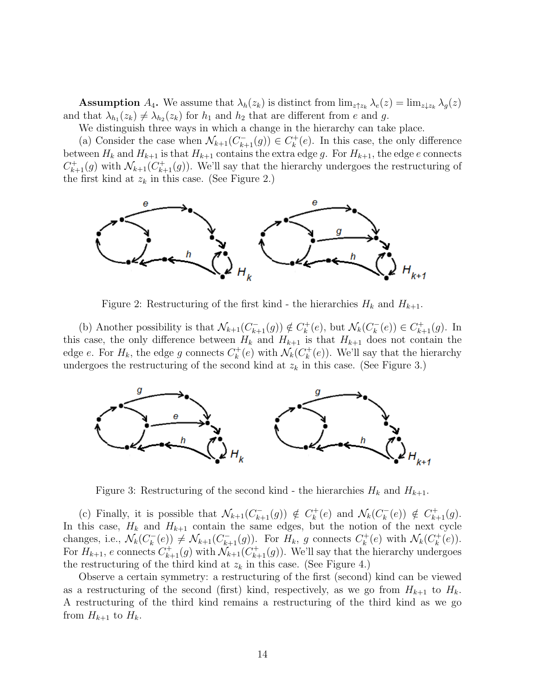**Assumption**  $A_4$ . We assume that  $\lambda_h(z_k)$  is distinct from  $\lim_{z \uparrow z_k} \lambda_e(z) = \lim_{z \downarrow z_k} \lambda_q(z)$ and that  $\lambda_{h_1}(z_k) \neq \lambda_{h_2}(z_k)$  for  $h_1$  and  $h_2$  that are different from e and g.

We distinguish three ways in which a change in the hierarchy can take place.

(a) Consider the case when  $\mathcal{N}_{k+1}(C_{k+1}^-(g))\in C_k^+$  $\kappa_k^+(e)$ . In this case, the only difference between  $H_k$  and  $H_{k+1}$  is that  $H_{k+1}$  contains the extra edge g. For  $H_{k+1}$ , the edge e connects  $C_{k+1}^+(g)$  with  $\mathcal{N}_{k+1}(C_{k+1}^+(g))$ . We'll say that the hierarchy undergoes the restructuring of the first kind at  $z_k$  in this case. (See Figure 2.)



Figure 2: Restructuring of the first kind - the hierarchies  $H_k$  and  $H_{k+1}$ .

(b) Another possibility is that  $\mathcal{N}_{k+1}(C_{k+1}^-(g)) \notin C_k^+$  $\mathcal{N}_k^+(e)$ , but  $\mathcal{N}_k(C_k^-)$  $C_{k+1}^+(g) \in C_{k+1}^+(g)$ . In this case, the only difference between  $H_k$  and  $H_{k+1}$  is that  $H_{k+1}$  does not contain the edge *e*. For  $H_k$ , the edge *g* connects  $C_k^+$  $\mathcal{N}_k(e)$  with  $\mathcal{N}_k(C_k^+)$  $\mathcal{L}_k^+(e)$ ). We'll say that the hierarchy undergoes the restructuring of the second kind at  $z_k$  in this case. (See Figure 3.)



Figure 3: Restructuring of the second kind - the hierarchies  $H_k$  and  $H_{k+1}$ .

(c) Finally, it is possible that  $\mathcal{N}_{k+1}(C_{k+1}^-(g)) \notin C_k^+$  $\mathcal{N}_k^+(e)$  and  $\mathcal{N}_k(C_k^-)$  $(k)$   $\notin C_{k+1}^+(g)$ . In this case,  $H_k$  and  $H_{k+1}$  contain the same edges, but the notion of the next cycle changes, i.e.,  $\mathcal{N}_k(C_k^-)$  $k_k^-(e)$   $\neq \mathcal{N}_{k+1}(C_{k+1}^-(g))$ . For  $H_k$ , g connects  $C_k^+$  $\mathcal{N}_k^+(e)$  with  $\mathcal{N}_k(C_k^+)$  $_{k}^{(+}(e)).$ For  $H_{k+1}$ , e connects  $C_{k+1}^+(g)$  with  $\mathcal{N}_{k+1}(C_{k+1}^+(g))$ . We'll say that the hierarchy undergoes the restructuring of the third kind at  $z_k$  in this case. (See Figure 4.)

Observe a certain symmetry: a restructuring of the first (second) kind can be viewed as a restructuring of the second (first) kind, respectively, as we go from  $H_{k+1}$  to  $H_k$ . A restructuring of the third kind remains a restructuring of the third kind as we go from  $H_{k+1}$  to  $H_k$ .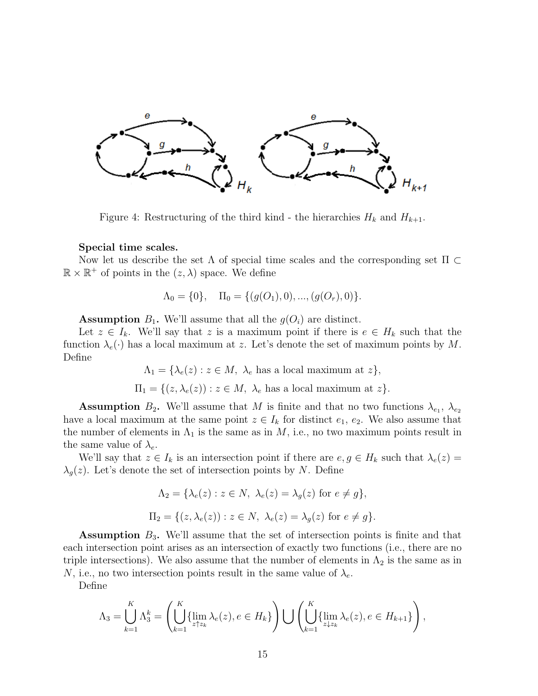

Figure 4: Restructuring of the third kind - the hierarchies  $H_k$  and  $H_{k+1}$ .

#### Special time scales.

Now let us describe the set  $\Lambda$  of special time scales and the corresponding set  $\Pi \subset$  $\mathbb{R} \times \mathbb{R}^+$  of points in the  $(z, \lambda)$  space. We define

$$
\Lambda_0 = \{0\}, \quad \Pi_0 = \{ (g(O_1), 0), ..., (g(O_r), 0) \}.
$$

**Assumption**  $B_1$ . We'll assume that all the  $g(O_i)$  are distinct.

Let  $z \in I_k$ . We'll say that z is a maximum point if there is  $e \in H_k$  such that the function  $\lambda_e(\cdot)$  has a local maximum at z. Let's denote the set of maximum points by M. Define

 $\Lambda_1 = {\lambda_e(z) : z \in M, \lambda_e \text{ has a local maximum at } z},$ 

$$
\Pi_1 = \{ (z, \lambda_e(z)) : z \in M, \ \lambda_e \text{ has a local maximum at } z \}.
$$

**Assumption**  $B_2$ . We'll assume that M is finite and that no two functions  $\lambda_{e_1}, \lambda_{e_2}$ have a local maximum at the same point  $z \in I_k$  for distinct  $e_1, e_2$ . We also assume that the number of elements in  $\Lambda_1$  is the same as in M, i.e., no two maximum points result in the same value of  $\lambda_e$ .

We'll say that  $z \in I_k$  is an intersection point if there are  $e, g \in H_k$  such that  $\lambda_e(z) =$  $\lambda_q(z)$ . Let's denote the set of intersection points by N. Define

$$
\Lambda_2 = \{\lambda_e(z) : z \in N, \ \lambda_e(z) = \lambda_g(z) \text{ for } e \neq g\},\
$$
  

$$
\Pi_2 = \{(z, \lambda_e(z)) : z \in N, \ \lambda_e(z) = \lambda_g(z) \text{ for } e \neq g\}.
$$

**Assumption**  $B_3$ . We'll assume that the set of intersection points is finite and that each intersection point arises as an intersection of exactly two functions (i.e., there are no triple intersections). We also assume that the number of elements in  $\Lambda_2$  is the same as in N, i.e., no two intersection points result in the same value of  $\lambda_e$ .

Define

$$
\Lambda_3 = \bigcup_{k=1}^K \Lambda_3^k = \left( \bigcup_{k=1}^K \{ \lim_{z \uparrow z_k} \lambda_e(z), e \in H_k \} \right) \bigcup \left( \bigcup_{k=1}^K \{ \lim_{z \downarrow z_k} \lambda_e(z), e \in H_{k+1} \} \right),
$$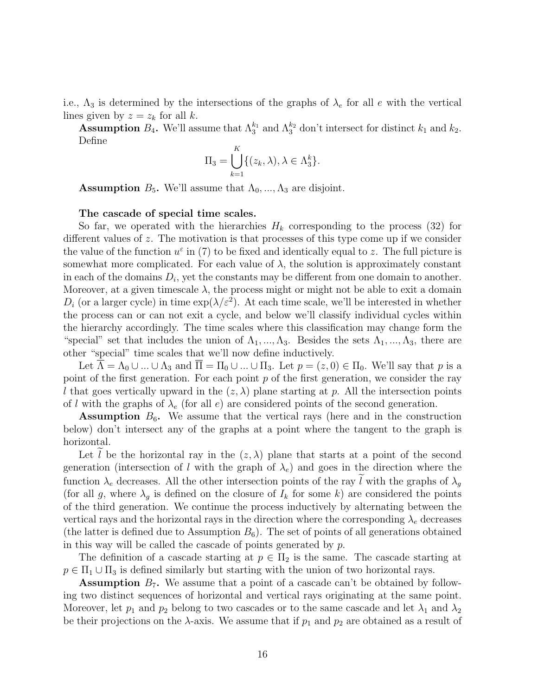i.e.,  $\Lambda_3$  is determined by the intersections of the graphs of  $\lambda_e$  for all e with the vertical lines given by  $z = z_k$  for all k.

**Assumption**  $B_4$ . We'll assume that  $\Lambda_3^{k_1}$  and  $\Lambda_3^{k_2}$  don't intersect for distinct  $k_1$  and  $k_2$ . Define

$$
\Pi_3 = \bigcup_{k=1}^K \{ (z_k, \lambda), \lambda \in \Lambda_3^k \}.
$$

**Assumption**  $B_5$ . We'll assume that  $\Lambda_0, ..., \Lambda_3$  are disjoint.

The cascade of special time scales.

So far, we operated with the hierarchies  $H_k$  corresponding to the process (32) for different values of z. The motivation is that processes of this type come up if we consider the value of the function  $u^{\varepsilon}$  in (7) to be fixed and identically equal to z. The full picture is somewhat more complicated. For each value of  $\lambda$ , the solution is approximately constant in each of the domains  $D_i$ , yet the constants may be different from one domain to another. Moreover, at a given timescale  $\lambda$ , the process might or might not be able to exit a domain  $D_i$  (or a larger cycle) in time  $\exp(\lambda/\varepsilon^2)$ . At each time scale, we'll be interested in whether the process can or can not exit a cycle, and below we'll classify individual cycles within the hierarchy accordingly. The time scales where this classification may change form the "special" set that includes the union of  $\Lambda_1, ..., \Lambda_3$ . Besides the sets  $\Lambda_1, ..., \Lambda_3$ , there are other "special" time scales that we'll now define inductively.

Let  $\overline{\Lambda} = \Lambda_0 \cup ... \cup \Lambda_3$  and  $\overline{\Pi} = \Pi_0 \cup ... \cup \Pi_3$ . Let  $p = (z, 0) \in \Pi_0$ . We'll say that p is a point of the first generation. For each point  $p$  of the first generation, we consider the ray l that goes vertically upward in the  $(z, \lambda)$  plane starting at p. All the intersection points of l with the graphs of  $\lambda_e$  (for all e) are considered points of the second generation.

**Assumption**  $B_6$ . We assume that the vertical rays (here and in the construction below) don't intersect any of the graphs at a point where the tangent to the graph is horizontal.

Let l be the horizontal ray in the  $(z, \lambda)$  plane that starts at a point of the second generation (intersection of l with the graph of  $\lambda_e$ ) and goes in the direction where the function  $\lambda_e$  decreases. All the other intersection points of the ray  $\tilde{l}$  with the graphs of  $\lambda_g$ (for all g, where  $\lambda_g$  is defined on the closure of  $I_k$  for some k) are considered the points of the third generation. We continue the process inductively by alternating between the vertical rays and the horizontal rays in the direction where the corresponding  $\lambda_e$  decreases (the latter is defined due to Assumption  $B_6$ ). The set of points of all generations obtained in this way will be called the cascade of points generated by  $p$ .

The definition of a cascade starting at  $p \in \Pi_2$  is the same. The cascade starting at  $p \in \Pi_1 \cup \Pi_3$  is defined similarly but starting with the union of two horizontal rays.

**Assumption**  $B_7$ . We assume that a point of a cascade can't be obtained by following two distinct sequences of horizontal and vertical rays originating at the same point. Moreover, let  $p_1$  and  $p_2$  belong to two cascades or to the same cascade and let  $\lambda_1$  and  $\lambda_2$ be their projections on the  $\lambda$ -axis. We assume that if  $p_1$  and  $p_2$  are obtained as a result of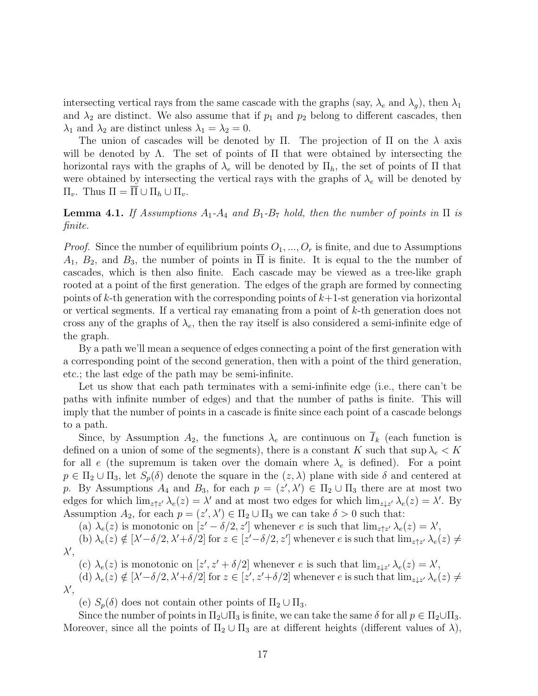intersecting vertical rays from the same cascade with the graphs (say,  $\lambda_e$  and  $\lambda_q$ ), then  $\lambda_1$ and  $\lambda_2$  are distinct. We also assume that if  $p_1$  and  $p_2$  belong to different cascades, then  $\lambda_1$  and  $\lambda_2$  are distinct unless  $\lambda_1 = \lambda_2 = 0$ .

The union of cascades will be denoted by Π. The projection of Π on the  $\lambda$  axis will be denoted by  $\Lambda$ . The set of points of  $\Pi$  that were obtained by intersecting the horizontal rays with the graphs of  $\lambda_e$  will be denoted by  $\Pi_h$ , the set of points of  $\Pi$  that were obtained by intersecting the vertical rays with the graphs of  $\lambda_e$  will be denoted by  $\Pi_v$ . Thus  $\Pi = \overline{\Pi} \cup \Pi_h \cup \Pi_v$ .

**Lemma 4.1.** If Assumptions  $A_1$ - $A_4$  and  $B_1$ - $B_7$  hold, then the number of points in  $\Pi$  is finite.

*Proof.* Since the number of equilibrium points  $O_1, ..., O_r$  is finite, and due to Assumptions  $A_1, B_2$ , and  $B_3$ , the number of points in  $\Pi$  is finite. It is equal to the the number of cascades, which is then also finite. Each cascade may be viewed as a tree-like graph rooted at a point of the first generation. The edges of the graph are formed by connecting points of  $k$ -th generation with the corresponding points of  $k+1$ -st generation via horizontal or vertical segments. If a vertical ray emanating from a point of k-th generation does not cross any of the graphs of  $\lambda_e$ , then the ray itself is also considered a semi-infinite edge of the graph.

By a path we'll mean a sequence of edges connecting a point of the first generation with a corresponding point of the second generation, then with a point of the third generation, etc.; the last edge of the path may be semi-infinite.

Let us show that each path terminates with a semi-infinite edge (i.e., there can't be paths with infinite number of edges) and that the number of paths is finite. This will imply that the number of points in a cascade is finite since each point of a cascade belongs to a path.

Since, by Assumption  $A_2$ , the functions  $\lambda_e$  are continuous on  $\overline{I}_k$  (each function is defined on a union of some of the segments), there is a constant K such that  $\sup \lambda_e < K$ for all e (the supremum is taken over the domain where  $\lambda_e$  is defined). For a point  $p \in \Pi_2 \cup \Pi_3$ , let  $S_p(\delta)$  denote the square in the  $(z, \lambda)$  plane with side  $\delta$  and centered at p. By Assumptions  $A_4$  and  $B_3$ , for each  $p = (z', \lambda') \in \Pi_2 \cup \Pi_3$  there are at most two edges for which  $\lim_{z \uparrow z'} \lambda_e(z) = \lambda'$  and at most two edges for which  $\lim_{z \downarrow z'} \lambda_e(z) = \lambda'$ . By Assumption  $A_2$ , for each  $p = (z', \lambda') \in \Pi_2 \cup \Pi_3$  we can take  $\delta > 0$  such that:

(a)  $\lambda_e(z)$  is monotonic on  $[z'-\delta/2, z']$  whenever e is such that  $\lim_{z \uparrow z'} \lambda_e(z) = \lambda'$ ,

(b)  $\lambda_e(z) \notin [\lambda' - \delta/2, \lambda' + \delta/2]$  for  $z \in [z' - \delta/2, z']$  whenever e is such that  $\lim_{z \uparrow z'} \lambda_e(z) \neq$  $\lambda',$ 

(c)  $\lambda_e(z)$  is monotonic on  $[z', z' + \delta/2]$  whenever e is such that  $\lim_{z \downarrow z'} \lambda_e(z) = \lambda'$ ,

(d)  $\lambda_e(z) \notin [\lambda' - \delta/2, \lambda' + \delta/2]$  for  $z \in [z', z' + \delta/2]$  whenever e is such that  $\lim_{z \downarrow z'} \lambda_e(z) \neq$  $\lambda',$ 

(e)  $S_p(\delta)$  does not contain other points of  $\Pi_2 \cup \Pi_3$ .

Since the number of points in  $\Pi_2 \cup \Pi_3$  is finite, we can take the same  $\delta$  for all  $p \in \Pi_2 \cup \Pi_3$ . Moreover, since all the points of  $\Pi_2 \cup \Pi_3$  are at different heights (different values of  $\lambda$ ),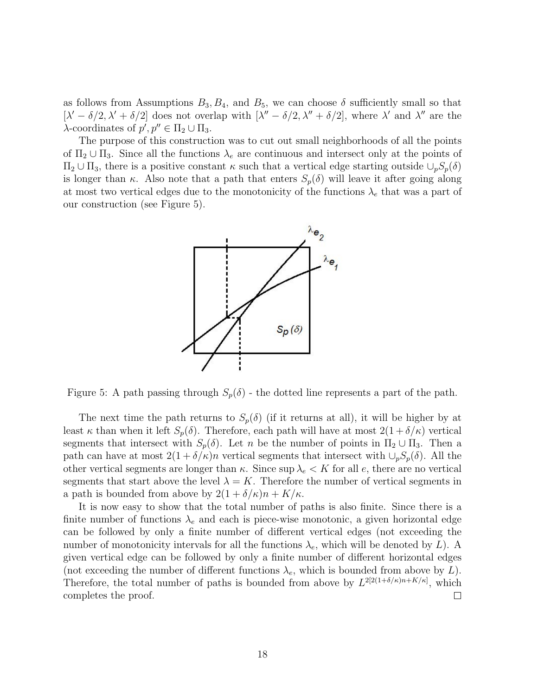as follows from Assumptions  $B_3, B_4$ , and  $B_5$ , we can choose  $\delta$  sufficiently small so that  $[\lambda' - \delta/2, \lambda' + \delta/2]$  does not overlap with  $[\lambda'' - \delta/2, \lambda'' + \delta/2]$ , where  $\lambda'$  and  $\lambda''$  are the  $\lambda$ -coordinates of  $p', p'' \in \Pi_2 \cup \Pi_3$ .

The purpose of this construction was to cut out small neighborhoods of all the points of  $\Pi_2 \cup \Pi_3$ . Since all the functions  $\lambda_e$  are continuous and intersect only at the points of  $\Pi_2 \cup \Pi_3$ , there is a positive constant  $\kappa$  such that a vertical edge starting outside  $\cup_p S_p(\delta)$ is longer than κ. Also note that a path that enters  $S_p(\delta)$  will leave it after going along at most two vertical edges due to the monotonicity of the functions  $\lambda_e$  that was a part of our construction (see Figure 5).



Figure 5: A path passing through  $S_p(\delta)$  - the dotted line represents a part of the path.

The next time the path returns to  $S_p(\delta)$  (if it returns at all), it will be higher by at least  $\kappa$  than when it left  $S_p(\delta)$ . Therefore, each path will have at most  $2(1+\delta/\kappa)$  vertical segments that intersect with  $S_p(\delta)$ . Let n be the number of points in  $\Pi_2 \cup \Pi_3$ . Then a path can have at most  $2(1 + \delta/\kappa)n$  vertical segments that intersect with  $\cup_p S_p(\delta)$ . All the other vertical segments are longer than  $\kappa$ . Since sup  $\lambda_e < K$  for all e, there are no vertical segments that start above the level  $\lambda = K$ . Therefore the number of vertical segments in a path is bounded from above by  $2(1 + \delta/\kappa)n + K/\kappa$ .

It is now easy to show that the total number of paths is also finite. Since there is a finite number of functions  $\lambda_e$  and each is piece-wise monotonic, a given horizontal edge can be followed by only a finite number of different vertical edges (not exceeding the number of monotonicity intervals for all the functions  $\lambda_e$ , which will be denoted by L). A given vertical edge can be followed by only a finite number of different horizontal edges (not exceeding the number of different functions  $\lambda_e$ , which is bounded from above by L). Therefore, the total number of paths is bounded from above by  $L^{2[2(1+\delta/\kappa)n+K/\kappa]}$ , which completes the proof.  $\Box$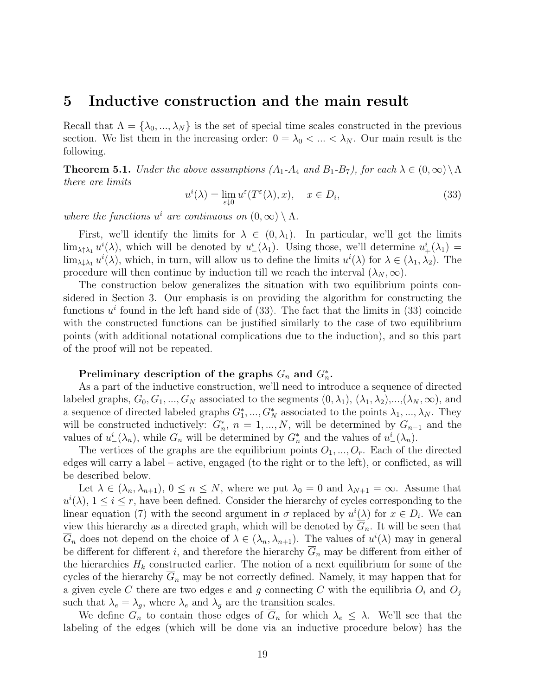### 5 Inductive construction and the main result

Recall that  $\Lambda = {\lambda_0, ..., \lambda_N}$  is the set of special time scales constructed in the previous section. We list them in the increasing order:  $0 = \lambda_0 < ... < \lambda_N$ . Our main result is the following.

**Theorem 5.1.** Under the above assumptions  $(A_1-A_4$  and  $B_1-B_7$ ), for each  $\lambda \in (0,\infty) \setminus \Lambda$ there are limits

$$
u^{i}(\lambda) = \lim_{\varepsilon \downarrow 0} u^{\varepsilon}(T^{\varepsilon}(\lambda), x), \quad x \in D_{i}, \tag{33}
$$

where the functions  $u^i$  are continuous on  $(0, \infty) \setminus \Lambda$ .

First, we'll identify the limits for  $\lambda \in (0, \lambda_1)$ . In particular, we'll get the limits  $\lim_{\lambda \uparrow \lambda_1} u^i(\lambda)$ , which will be denoted by  $u^i_{-}(\lambda_1)$ . Using those, we'll determine  $u^i_{+}(\lambda_1)$  =  $\lim_{\lambda \downarrow \lambda_1} u^i(\lambda)$ , which, in turn, will allow us to define the limits  $u^i(\lambda)$  for  $\lambda \in (\lambda_1, \lambda_2)$ . The procedure will then continue by induction till we reach the interval  $(\lambda_N, \infty)$ .

The construction below generalizes the situation with two equilibrium points considered in Section 3. Our emphasis is on providing the algorithm for constructing the functions  $u^i$  found in the left hand side of (33). The fact that the limits in (33) coincide with the constructed functions can be justified similarly to the case of two equilibrium points (with additional notational complications due to the induction), and so this part of the proof will not be repeated.

### Preliminary description of the graphs  $G_n$  and  $G_n^*$ .

As a part of the inductive construction, we'll need to introduce a sequence of directed labeled graphs,  $G_0, G_1, ..., G_N$  associated to the segments  $(0, \lambda_1), (\lambda_1, \lambda_2), ..., (\lambda_N, \infty)$ , and a sequence of directed labeled graphs  $G_1^*,...,G_N^*$  associated to the points  $\lambda_1,...,\lambda_N$ . They will be constructed inductively:  $G_n^*$ ,  $n = 1, ..., N$ , will be determined by  $G_{n-1}$  and the values of  $u^i_-(\lambda_n)$ , while  $G_n$  will be determined by  $G_n^*$  and the values of  $u^i_-(\lambda_n)$ .

The vertices of the graphs are the equilibrium points  $O_1, ..., O_r$ . Each of the directed edges will carry a label – active, engaged (to the right or to the left), or conflicted, as will be described below.

Let  $\lambda \in (\lambda_n, \lambda_{n+1}), 0 \le n \le N$ , where we put  $\lambda_0 = 0$  and  $\lambda_{N+1} = \infty$ . Assume that  $u^{i}(\lambda), 1 \leq i \leq r$ , have been defined. Consider the hierarchy of cycles corresponding to the linear equation (7) with the second argument in  $\sigma$  replaced by  $u^{i}(\lambda)$  for  $x \in D_{i}$ . We can view this hierarchy as a directed graph, which will be denoted by  $G_n$ . It will be seen that  $\overline{G}_n$  does not depend on the choice of  $\lambda \in (\lambda_n, \lambda_{n+1})$ . The values of  $u^i(\lambda)$  may in general be different for different i, and therefore the hierarchy  $\overline{G}_n$  may be different from either of the hierarchies  $H_k$  constructed earlier. The notion of a next equilibrium for some of the cycles of the hierarchy  $G_n$  may be not correctly defined. Namely, it may happen that for a given cycle C there are two edges e and g connecting C with the equilibria  $O_i$  and  $O_j$ such that  $\lambda_e = \lambda_g$ , where  $\lambda_e$  and  $\lambda_g$  are the transition scales.

We define  $G_n$  to contain those edges of  $\overline{G}_n$  for which  $\lambda_e \leq \lambda$ . We'll see that the labeling of the edges (which will be done via an inductive procedure below) has the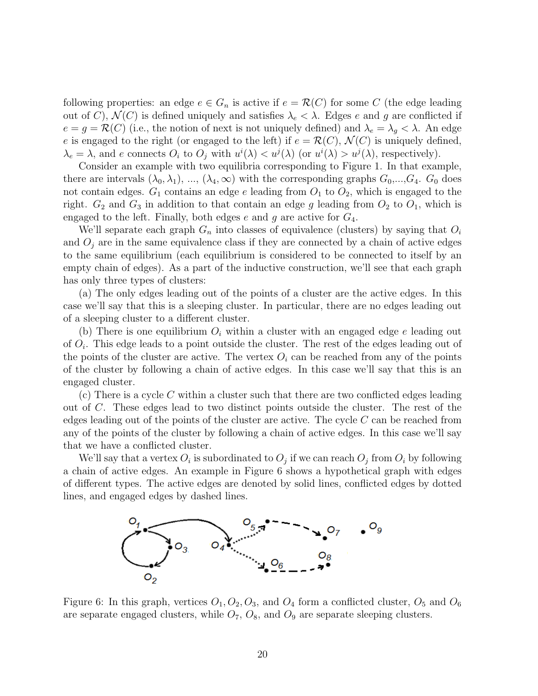following properties: an edge  $e \in G_n$  is active if  $e = \mathcal{R}(C)$  for some C (the edge leading out of C),  $\mathcal{N}(C)$  is defined uniquely and satisfies  $\lambda_e < \lambda$ . Edges e and g are conflicted if  $e = g = \mathcal{R}(C)$  (i.e., the notion of next is not uniquely defined) and  $\lambda_e = \lambda_g < \lambda$ . An edge e is engaged to the right (or engaged to the left) if  $e = \mathcal{R}(C)$ ,  $\mathcal{N}(C)$  is uniquely defined,  $\lambda_e = \lambda$ , and e connects  $O_i$  to  $O_j$  with  $u^i(\lambda) < u^j(\lambda)$  (or  $u^i(\lambda) > u^j(\lambda)$ , respectively).

Consider an example with two equilibria corresponding to Figure 1. In that example, there are intervals  $(\lambda_0, \lambda_1), ..., (\lambda_4, \infty)$  with the corresponding graphs  $G_0, ..., G_4$ .  $G_0$  does not contain edges.  $G_1$  contains an edge e leading from  $O_1$  to  $O_2$ , which is engaged to the right.  $G_2$  and  $G_3$  in addition to that contain an edge g leading from  $O_2$  to  $O_1$ , which is engaged to the left. Finally, both edges  $e$  and  $g$  are active for  $G_4$ .

We'll separate each graph  $G_n$  into classes of equivalence (clusters) by saying that  $O_i$ and  $O_j$  are in the same equivalence class if they are connected by a chain of active edges to the same equilibrium (each equilibrium is considered to be connected to itself by an empty chain of edges). As a part of the inductive construction, we'll see that each graph has only three types of clusters:

(a) The only edges leading out of the points of a cluster are the active edges. In this case we'll say that this is a sleeping cluster. In particular, there are no edges leading out of a sleeping cluster to a different cluster.

(b) There is one equilibrium  $O_i$  within a cluster with an engaged edge e leading out of  $O_i$ . This edge leads to a point outside the cluster. The rest of the edges leading out of the points of the cluster are active. The vertex  $O_i$  can be reached from any of the points of the cluster by following a chain of active edges. In this case we'll say that this is an engaged cluster.

(c) There is a cycle C within a cluster such that there are two conflicted edges leading out of C. These edges lead to two distinct points outside the cluster. The rest of the edges leading out of the points of the cluster are active. The cycle  $C$  can be reached from any of the points of the cluster by following a chain of active edges. In this case we'll say that we have a conflicted cluster.

We'll say that a vertex  $O_i$  is subordinated to  $O_j$  if we can reach  $O_j$  from  $O_i$  by following a chain of active edges. An example in Figure 6 shows a hypothetical graph with edges of different types. The active edges are denoted by solid lines, conflicted edges by dotted lines, and engaged edges by dashed lines.



Figure 6: In this graph, vertices  $O_1$ ,  $O_2$ ,  $O_3$ , and  $O_4$  form a conflicted cluster,  $O_5$  and  $O_6$ are separate engaged clusters, while  $O_7$ ,  $O_8$ , and  $O_9$  are separate sleeping clusters.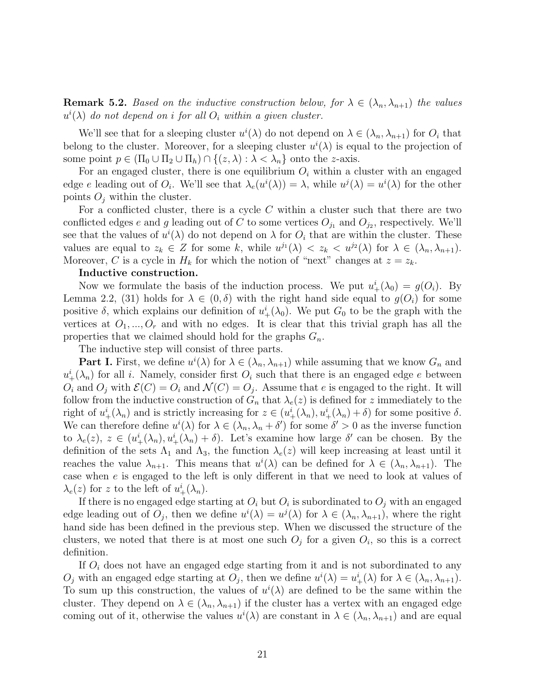**Remark 5.2.** Based on the inductive construction below, for  $\lambda \in (\lambda_n, \lambda_{n+1})$  the values  $u^{i}(\lambda)$  do not depend on i for all  $O_i$  within a given cluster.

We'll see that for a sleeping cluster  $u^{i}(\lambda)$  do not depend on  $\lambda \in (\lambda_{n}, \lambda_{n+1})$  for  $O_i$  that belong to the cluster. Moreover, for a sleeping cluster  $u^{i}(\lambda)$  is equal to the projection of some point  $p \in (\Pi_0 \cup \Pi_2 \cup \Pi_h) \cap \{(z,\lambda): \lambda < \lambda_n\}$  onto the z-axis.

For an engaged cluster, there is one equilibrium  $O_i$  within a cluster with an engaged edge e leading out of  $O_i$ . We'll see that  $\lambda_e(u^i(\lambda)) = \lambda$ , while  $u^j(\lambda) = u^i(\lambda)$  for the other points  $O_i$  within the cluster.

For a conflicted cluster, there is a cycle  $C$  within a cluster such that there are two conflicted edges e and g leading out of C to some vertices  $O_{j_1}$  and  $O_{j_2}$ , respectively. We'll see that the values of  $u^{i}(\lambda)$  do not depend on  $\lambda$  for  $O_i$  that are within the cluster. These values are equal to  $z_k \in Z$  for some k, while  $u^{j_1}(\lambda) < z_k < u^{j_2}(\lambda)$  for  $\lambda \in (\lambda_n, \lambda_{n+1})$ . Moreover, C is a cycle in  $H_k$  for which the notion of "next" changes at  $z = z_k$ .

#### Inductive construction.

Now we formulate the basis of the induction process. We put  $u^i_+(\lambda_0) = g(O_i)$ . By Lemma 2.2, (31) holds for  $\lambda \in (0, \delta)$  with the right hand side equal to  $g(O_i)$  for some positive  $\delta$ , which explains our definition of  $u^i_+(\lambda_0)$ . We put  $G_0$  to be the graph with the vertices at  $O_1, ..., O_r$  and with no edges. It is clear that this trivial graph has all the properties that we claimed should hold for the graphs  $G_n$ .

The inductive step will consist of three parts.

**Part I.** First, we define  $u^{i}(\lambda)$  for  $\lambda \in (\lambda_n, \lambda_{n+1})$  while assuming that we know  $G_n$  and  $u^i_+(\lambda_n)$  for all *i*. Namely, consider first  $O_i$  such that there is an engaged edge *e* between  $O_i$  and  $O_j$  with  $\mathcal{E}(C) = O_i$  and  $\mathcal{N}(C) = O_j$ . Assume that e is engaged to the right. It will follow from the inductive construction of  $G_n$  that  $\lambda_e(z)$  is defined for z immediately to the right of  $u^i_+(\lambda_n)$  and is strictly increasing for  $z \in (u^i_+(\lambda_n), u^i_+(\lambda_n) + \delta)$  for some positive  $\delta$ . We can therefore define  $u^{i}(\lambda)$  for  $\lambda \in (\lambda_n, \lambda_n + \delta')$  for some  $\delta' > 0$  as the inverse function to  $\lambda_e(z)$ ,  $z \in (u^i_+(\lambda_n), u^i_+(\lambda_n) + \delta)$ . Let's examine how large  $\delta'$  can be chosen. By the definition of the sets  $\Lambda_1$  and  $\Lambda_3$ , the function  $\lambda_e(z)$  will keep increasing at least until it reaches the value  $\lambda_{n+1}$ . This means that  $u^{i}(\lambda)$  can be defined for  $\lambda \in (\lambda_n, \lambda_{n+1})$ . The case when e is engaged to the left is only different in that we need to look at values of  $\lambda_e(z)$  for z to the left of  $u^i_+(\lambda_n)$ .

If there is no engaged edge starting at  $O_i$  but  $O_i$  is subordinated to  $O_j$  with an engaged edge leading out of  $O_j$ , then we define  $u^i(\lambda) = u^j(\lambda)$  for  $\lambda \in (\lambda_n, \lambda_{n+1})$ , where the right hand side has been defined in the previous step. When we discussed the structure of the clusters, we noted that there is at most one such  $O_j$  for a given  $O_i$ , so this is a correct definition.

If  $O_i$  does not have an engaged edge starting from it and is not subordinated to any  $O_j$  with an engaged edge starting at  $O_j$ , then we define  $u^i(\lambda) = u^i_+(\lambda)$  for  $\lambda \in (\lambda_n, \lambda_{n+1})$ . To sum up this construction, the values of  $u^{i}(\lambda)$  are defined to be the same within the cluster. They depend on  $\lambda \in (\lambda_n, \lambda_{n+1})$  if the cluster has a vertex with an engaged edge coming out of it, otherwise the values  $u^{i}(\lambda)$  are constant in  $\lambda \in (\lambda_{n}, \lambda_{n+1})$  and are equal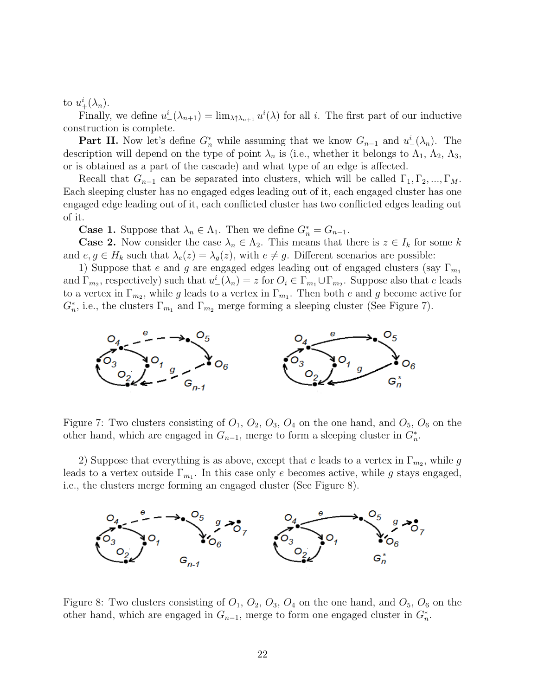to  $u_+^i(\lambda_n)$ .

Finally, we define  $u^i_-(\lambda_{n+1}) = \lim_{\lambda \uparrow \lambda_{n+1}} u^i(\lambda)$  for all i. The first part of our inductive construction is complete.

**Part II.** Now let's define  $G_n^*$  while assuming that we know  $G_{n-1}$  and  $u^i(\lambda_n)$ . The description will depend on the type of point  $\lambda_n$  is (i.e., whether it belongs to  $\Lambda_1$ ,  $\Lambda_2$ ,  $\Lambda_3$ , or is obtained as a part of the cascade) and what type of an edge is affected.

Recall that  $G_{n-1}$  can be separated into clusters, which will be called  $\Gamma_1, \Gamma_2, ..., \Gamma_M$ . Each sleeping cluster has no engaged edges leading out of it, each engaged cluster has one engaged edge leading out of it, each conflicted cluster has two conflicted edges leading out of it.

**Case 1.** Suppose that  $\lambda_n \in \Lambda_1$ . Then we define  $G_n^* = G_{n-1}$ .

**Case 2.** Now consider the case  $\lambda_n \in \Lambda_2$ . This means that there is  $z \in I_k$  for some k and  $e, g \in H_k$  such that  $\lambda_e(z) = \lambda_g(z)$ , with  $e \neq g$ . Different scenarios are possible:

1) Suppose that e and g are engaged edges leading out of engaged clusters (say  $\Gamma_{m_1}$ ) and  $\Gamma_{m_2}$ , respectively) such that  $u^i(\lambda_n) = z$  for  $O_i \in \Gamma_{m_1} \cup \Gamma_{m_2}$ . Suppose also that e leads to a vertex in  $\Gamma_{m_2}$ , while g leads to a vertex in  $\Gamma_{m_1}$ . Then both e and g become active for  $G_n^*$ , i.e., the clusters  $\Gamma_{m_1}$  and  $\Gamma_{m_2}$  merge forming a sleeping cluster (See Figure 7).



Figure 7: Two clusters consisting of  $O_1$ ,  $O_2$ ,  $O_3$ ,  $O_4$  on the one hand, and  $O_5$ ,  $O_6$  on the other hand, which are engaged in  $G_{n-1}$ , merge to form a sleeping cluster in  $G_n^*$ .

2) Suppose that everything is as above, except that e leads to a vertex in  $\Gamma_{m_2}$ , while g leads to a vertex outside  $\Gamma_{m_1}$ . In this case only e becomes active, while g stays engaged, i.e., the clusters merge forming an engaged cluster (See Figure 8).



Figure 8: Two clusters consisting of  $O_1$ ,  $O_2$ ,  $O_3$ ,  $O_4$  on the one hand, and  $O_5$ ,  $O_6$  on the other hand, which are engaged in  $G_{n-1}$ , merge to form one engaged cluster in  $G_n^*$ .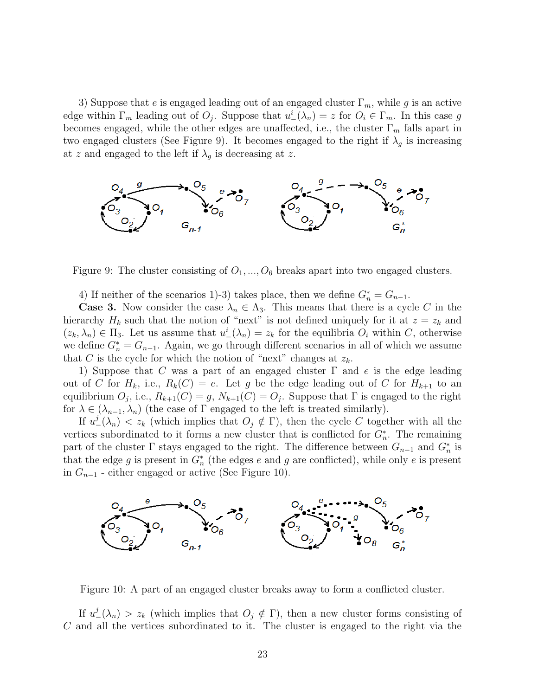3) Suppose that e is engaged leading out of an engaged cluster  $\Gamma_m$ , while g is an active edge within  $\Gamma_m$  leading out of  $O_j$ . Suppose that  $u^i(\lambda_n) = z$  for  $O_i \in \Gamma_m$ . In this case g becomes engaged, while the other edges are unaffected, i.e., the cluster  $\Gamma_m$  falls apart in two engaged clusters (See Figure 9). It becomes engaged to the right if  $\lambda_g$  is increasing at z and engaged to the left if  $\lambda_g$  is decreasing at z.



Figure 9: The cluster consisting of  $O_1, ..., O_6$  breaks apart into two engaged clusters.

4) If neither of the scenarios 1)-3) takes place, then we define  $G_n^* = G_{n-1}$ .

**Case 3.** Now consider the case  $\lambda_n \in \Lambda_3$ . This means that there is a cycle C in the hierarchy  $H_k$  such that the notion of "next" is not defined uniquely for it at  $z = z_k$  and  $(z_k, \lambda_n) \in \Pi_3$ . Let us assume that  $u^i(\lambda_n) = z_k$  for the equilibria  $O_i$  within C, otherwise we define  $G_n^* = G_{n-1}$ . Again, we go through different scenarios in all of which we assume that C is the cycle for which the notion of "next" changes at  $z_k$ .

1) Suppose that C was a part of an engaged cluster  $\Gamma$  and e is the edge leading out of C for  $H_k$ , i.e.,  $R_k(C) = e$ . Let g be the edge leading out of C for  $H_{k+1}$  to an equilibrium  $O_j$ , i.e.,  $R_{k+1}(C) = g$ ,  $N_{k+1}(C) = O_j$ . Suppose that  $\Gamma$  is engaged to the right for  $\lambda \in (\lambda_{n-1}, \lambda_n)$  (the case of  $\Gamma$  engaged to the left is treated similarly).

If  $u^j_-(\lambda_n) < z_k$  (which implies that  $O_j \notin \Gamma$ ), then the cycle C together with all the vertices subordinated to it forms a new cluster that is conflicted for  $G_n^*$ . The remaining part of the cluster  $\Gamma$  stays engaged to the right. The difference between  $G_{n-1}$  and  $G_n^*$  is that the edge g is present in  $G_n^*$  (the edges e and g are conflicted), while only e is present in  $G_{n-1}$  - either engaged or active (See Figure 10).



Figure 10: A part of an engaged cluster breaks away to form a conflicted cluster.

If  $u^j_-(\lambda_n) > z_k$  (which implies that  $O_j \notin \Gamma$ ), then a new cluster forms consisting of C and all the vertices subordinated to it. The cluster is engaged to the right via the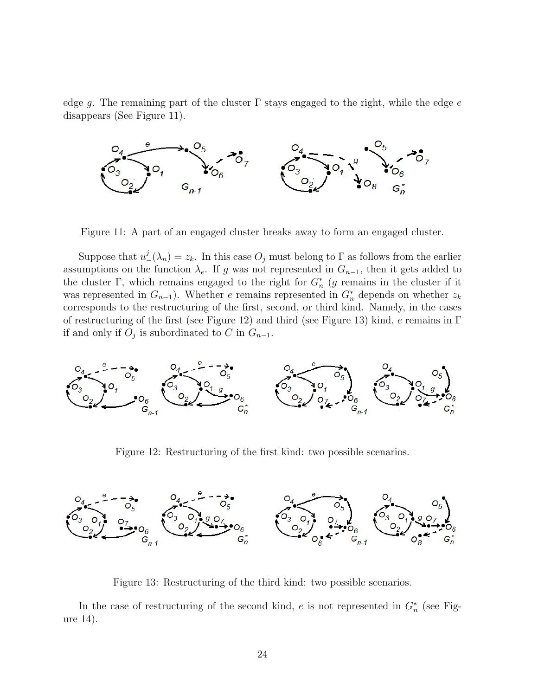edge g. The remaining part of the cluster  $\Gamma$  stays engaged to the right, while the edge e disappears (See Figure 11).



Figure 11: A part of an engaged cluster breaks away to form an engaged cluster.

Suppose that  $u^j_-(\lambda_n) = z_k$ . In this case  $O_j$  must belong to  $\Gamma$  as follows from the earlier assumptions on the function  $\lambda_e$ . If g was not represented in  $G_{n-1}$ , then it gets added to the cluster  $\Gamma$ , which remains engaged to the right for  $G_n^*$  (g remains in the cluster if it was represented in  $G_{n-1}$ ). Whether e remains represented in  $G_n^*$  depends on whether  $z_k$ corresponds to the restructuring of the first, second, or third kind. Namely, in the cases of restructuring of the first (see Figure 12) and third (see Figure 13) kind, e remains in  $\Gamma$ if and only if  $O_j$  is subordinated to C in  $G_{n-1}$ .



Figure 12: Restructuring of the first kind: two possible scenarios.



Figure 13: Restructuring of the third kind: two possible scenarios.

In the case of restructuring of the second kind, e is not represented in  $G_n^*$  (see Figure 14).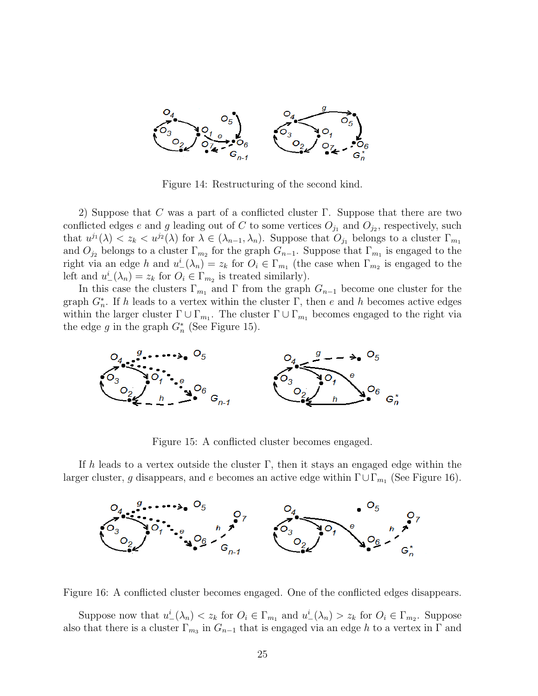

Figure 14: Restructuring of the second kind.

2) Suppose that C was a part of a conflicted cluster  $\Gamma$ . Suppose that there are two conflicted edges e and g leading out of C to some vertices  $O_{j_1}$  and  $O_{j_2}$ , respectively, such that  $u^{j_1}(\lambda) < z_k < u^{j_2}(\lambda)$  for  $\lambda \in (\lambda_{n-1}, \lambda_n)$ . Suppose that  $O_{j_1}$  belongs to a cluster  $\Gamma_{m_1}$ and  $O_{j_2}$  belongs to a cluster  $\Gamma_{m_2}$  for the graph  $G_{n-1}$ . Suppose that  $\Gamma_{m_1}$  is engaged to the right via an edge h and  $u^i_-(\lambda_n) = z_k$  for  $O_i \in \Gamma_{m_1}$  (the case when  $\Gamma_{m_2}$  is engaged to the left and  $u^i_-(\lambda_n) = z_k$  for  $O_i \in \Gamma_{m_2}$  is treated similarly).

In this case the clusters  $\Gamma_{m_1}$  and  $\Gamma$  from the graph  $G_{n-1}$  become one cluster for the graph  $G_n^*$ . If h leads to a vertex within the cluster  $\Gamma$ , then e and h becomes active edges within the larger cluster  $\Gamma \cup \Gamma_{m_1}$ . The cluster  $\Gamma \cup \Gamma_{m_1}$  becomes engaged to the right via the edge g in the graph  $G_n^*$  (See Figure 15).



Figure 15: A conflicted cluster becomes engaged.

If h leads to a vertex outside the cluster  $\Gamma$ , then it stays an engaged edge within the larger cluster, g disappears, and e becomes an active edge within  $\Gamma \cup \Gamma_{m_1}$  (See Figure 16).





Suppose now that  $u^i_-(\lambda_n) < z_k$  for  $O_i \in \Gamma_{m_1}$  and  $u^i_-(\lambda_n) > z_k$  for  $O_i \in \Gamma_{m_2}$ . Suppose also that there is a cluster  $\Gamma_{m_3}$  in  $G_{n-1}$  that is engaged via an edge h to a vertex in  $\Gamma$  and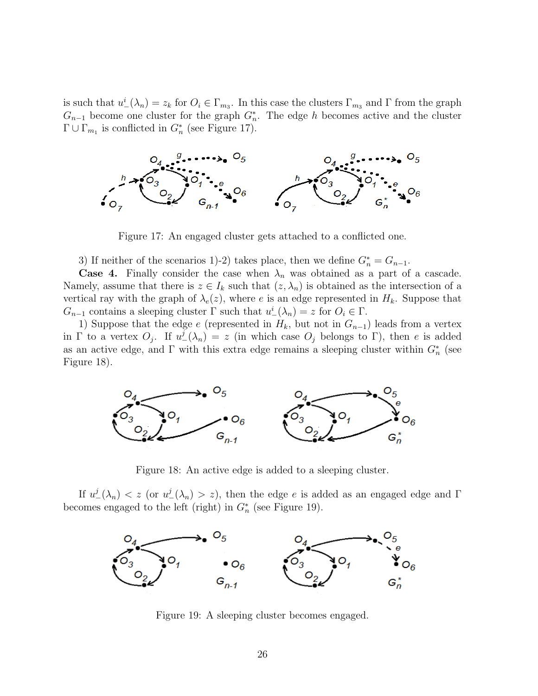is such that  $u^i_-(\lambda_n) = z_k$  for  $O_i \in \Gamma_{m_3}$ . In this case the clusters  $\Gamma_{m_3}$  and  $\Gamma$  from the graph  $G_{n-1}$  become one cluster for the graph  $G_n^*$ . The edge h becomes active and the cluster  $\Gamma \cup \Gamma_{m_1}$  is conflicted in  $G_n^*$  (see Figure 17).



Figure 17: An engaged cluster gets attached to a conflicted one.

3) If neither of the scenarios 1)-2) takes place, then we define  $G_n^* = G_{n-1}$ .

**Case 4.** Finally consider the case when  $\lambda_n$  was obtained as a part of a cascade. Namely, assume that there is  $z \in I_k$  such that  $(z, \lambda_n)$  is obtained as the intersection of a vertical ray with the graph of  $\lambda_e(z)$ , where e is an edge represented in  $H_k$ . Suppose that  $G_{n-1}$  contains a sleeping cluster  $\Gamma$  such that  $u^i(\lambda_n) = z$  for  $O_i \in \Gamma$ .

1) Suppose that the edge e (represented in  $H_k$ , but not in  $G_{n-1}$ ) leads from a vertex in  $\Gamma$  to a vertex  $O_j$ . If  $u^j(\lambda_n) = z$  (in which case  $O_j$  belongs to  $\Gamma$ ), then e is added as an active edge, and  $\Gamma$  with this extra edge remains a sleeping cluster within  $G_n^*$  (see Figure 18).



Figure 18: An active edge is added to a sleeping cluster.

If  $u^j_-(\lambda_n) < z$  (or  $u^j_-(\lambda_n) > z$ ), then the edge e is added as an engaged edge and  $\Gamma$ becomes engaged to the left (right) in  $G_n^*$  (see Figure 19).



Figure 19: A sleeping cluster becomes engaged.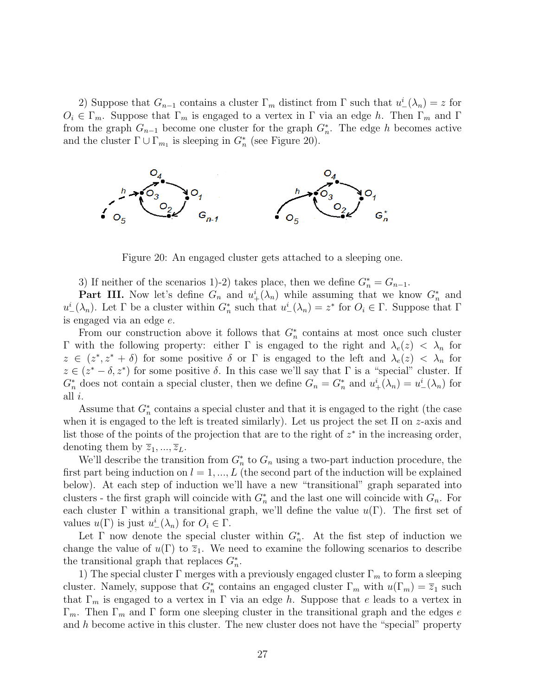2) Suppose that  $G_{n-1}$  contains a cluster  $\Gamma_m$  distinct from  $\Gamma$  such that  $u^i_-(\lambda_n) = z$  for  $O_i \in \Gamma_m$ . Suppose that  $\Gamma_m$  is engaged to a vertex in  $\Gamma$  via an edge h. Then  $\Gamma_m$  and  $\Gamma$ from the graph  $G_{n-1}$  become one cluster for the graph  $G_n^*$ . The edge h becomes active and the cluster  $\Gamma \cup \Gamma_{m_1}$  is sleeping in  $G_n^*$  (see Figure 20).



Figure 20: An engaged cluster gets attached to a sleeping one.

3) If neither of the scenarios 1)-2) takes place, then we define  $G_n^* = G_{n-1}$ .

**Part III.** Now let's define  $G_n$  and  $u^i_+(\lambda_n)$  while assuming that we know  $G_n^*$  and  $u^i_{-}(\lambda_n)$ . Let  $\Gamma$  be a cluster within  $G_n^*$  such that  $u^i_{-}(\lambda_n) = z^*$  for  $O_i \in \Gamma$ . Suppose that  $\Gamma$ is engaged via an edge e.

From our construction above it follows that  $G_n^*$  contains at most once such cluster Γ with the following property: either Γ is engaged to the right and  $\lambda_e(z) < \lambda_n$  for  $z \in (z^*, z^* + \delta)$  for some positive  $\delta$  or  $\Gamma$  is engaged to the left and  $\lambda_e(z) < \lambda_n$  for  $z \in (z^* - \delta, z^*)$  for some positive  $\delta$ . In this case we'll say that  $\Gamma$  is a "special" cluster. If  $G_n^*$  does not contain a special cluster, then we define  $G_n = G_n^*$  and  $u^i_+(\lambda_n) = u^i_-(\lambda_n)$  for all i.

Assume that  $G_n^*$  contains a special cluster and that it is engaged to the right (the case when it is engaged to the left is treated similarly). Let us project the set  $\Pi$  on z-axis and list those of the points of the projection that are to the right of  $z^*$  in the increasing order, denoting them by  $\overline{z}_1, ..., \overline{z}_L$ .

We'll describe the transition from  $G_n^*$  to  $G_n$  using a two-part induction procedure, the first part being induction on  $l = 1, ..., L$  (the second part of the induction will be explained below). At each step of induction we'll have a new "transitional" graph separated into clusters - the first graph will coincide with  $G_n^*$  and the last one will coincide with  $G_n$ . For each cluster Γ within a transitional graph, we'll define the value  $u(\Gamma)$ . The first set of values  $u(\Gamma)$  is just  $u^i(\lambda_n)$  for  $O_i \in \Gamma$ .

Let  $\Gamma$  now denote the special cluster within  $G_n^*$ . At the fist step of induction we change the value of  $u(\Gamma)$  to  $\overline{z}_1$ . We need to examine the following scenarios to describe the transitional graph that replaces  $G_n^*$ .

1) The special cluster  $\Gamma$  merges with a previously engaged cluster  $\Gamma_m$  to form a sleeping cluster. Namely, suppose that  $G_n^*$  contains an engaged cluster  $\Gamma_m$  with  $u(\Gamma_m) = \overline{z}_1$  such that  $\Gamma_m$  is engaged to a vertex in  $\Gamma$  via an edge h. Suppose that e leads to a vertex in  $\Gamma_m$ . Then  $\Gamma_m$  and  $\Gamma$  form one sleeping cluster in the transitional graph and the edges e and  $h$  become active in this cluster. The new cluster does not have the "special" property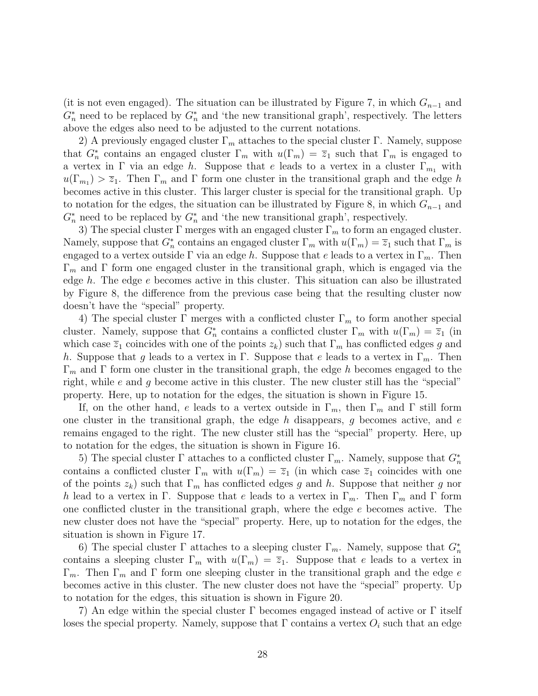(it is not even engaged). The situation can be illustrated by Figure 7, in which  $G_{n-1}$  and  $G_n^*$  need to be replaced by  $G_n^*$  and 'the new transitional graph', respectively. The letters above the edges also need to be adjusted to the current notations.

2) A previously engaged cluster  $\Gamma_m$  attaches to the special cluster Γ. Namely, suppose that  $G_n^*$  contains an engaged cluster  $\Gamma_m$  with  $u(\Gamma_m) = \overline{z}_1$  such that  $\Gamma_m$  is engaged to a vertex in Γ via an edge h. Suppose that e leads to a vertex in a cluster  $\Gamma_{m_1}$  with  $u(\Gamma_{m_1}) > \overline{z}_1$ . Then  $\Gamma_m$  and  $\Gamma$  form one cluster in the transitional graph and the edge h becomes active in this cluster. This larger cluster is special for the transitional graph. Up to notation for the edges, the situation can be illustrated by Figure 8, in which  $G_{n-1}$  and  $G_n^*$  need to be replaced by  $G_n^*$  and 'the new transitional graph', respectively.

3) The special cluster  $\Gamma$  merges with an engaged cluster  $\Gamma_m$  to form an engaged cluster. Namely, suppose that  $G_n^*$  contains an engaged cluster  $\Gamma_m$  with  $u(\Gamma_m) = \overline{z}_1$  such that  $\Gamma_m$  is engaged to a vertex outside  $\Gamma$  via an edge h. Suppose that e leads to a vertex in  $\Gamma_m$ . Then  $Γ<sub>m</sub>$  and Γ form one engaged cluster in the transitional graph, which is engaged via the edge h. The edge e becomes active in this cluster. This situation can also be illustrated by Figure 8, the difference from the previous case being that the resulting cluster now doesn't have the "special" property.

4) The special cluster  $\Gamma$  merges with a conflicted cluster  $\Gamma_m$  to form another special cluster. Namely, suppose that  $G_n^*$  contains a conflicted cluster  $\Gamma_m$  with  $u(\Gamma_m) = \overline{z}_1$  (in which case  $\overline{z}_1$  coincides with one of the points  $z_k$ ) such that  $\Gamma_m$  has conflicted edges g and h. Suppose that g leads to a vertex in Γ. Suppose that e leads to a vertex in  $\Gamma_m$ . Then  $\Gamma_m$  and  $\Gamma$  form one cluster in the transitional graph, the edge h becomes engaged to the right, while  $e$  and  $g$  become active in this cluster. The new cluster still has the "special" property. Here, up to notation for the edges, the situation is shown in Figure 15.

If, on the other hand, e leads to a vertex outside in  $\Gamma_m$ , then  $\Gamma_m$  and  $\Gamma$  still form one cluster in the transitional graph, the edge h disappears, g becomes active, and  $e$ remains engaged to the right. The new cluster still has the "special" property. Here, up to notation for the edges, the situation is shown in Figure 16.

5) The special cluster Γ attaches to a conflicted cluster  $\Gamma_m$ . Namely, suppose that  $G_n^*$ contains a conflicted cluster  $\Gamma_m$  with  $u(\Gamma_m) = \overline{z}_1$  (in which case  $\overline{z}_1$  coincides with one of the points  $z_k$ ) such that  $\Gamma_m$  has conflicted edges g and h. Suppose that neither g nor h lead to a vertex in Γ. Suppose that e leads to a vertex in  $\Gamma_m$ . Then  $\Gamma_m$  and  $\Gamma$  form one conflicted cluster in the transitional graph, where the edge e becomes active. The new cluster does not have the "special" property. Here, up to notation for the edges, the situation is shown in Figure 17.

6) The special cluster  $\Gamma$  attaches to a sleeping cluster  $\Gamma_m$ . Namely, suppose that  $G_n^*$ contains a sleeping cluster  $\Gamma_m$  with  $u(\Gamma_m) = \overline{z}_1$ . Suppose that e leads to a vertex in  $\Gamma_m$ . Then  $\Gamma_m$  and  $\Gamma$  form one sleeping cluster in the transitional graph and the edge e becomes active in this cluster. The new cluster does not have the "special" property. Up to notation for the edges, this situation is shown in Figure 20.

7) An edge within the special cluster Γ becomes engaged instead of active or Γ itself loses the special property. Namely, suppose that  $\Gamma$  contains a vertex  $O_i$  such that an edge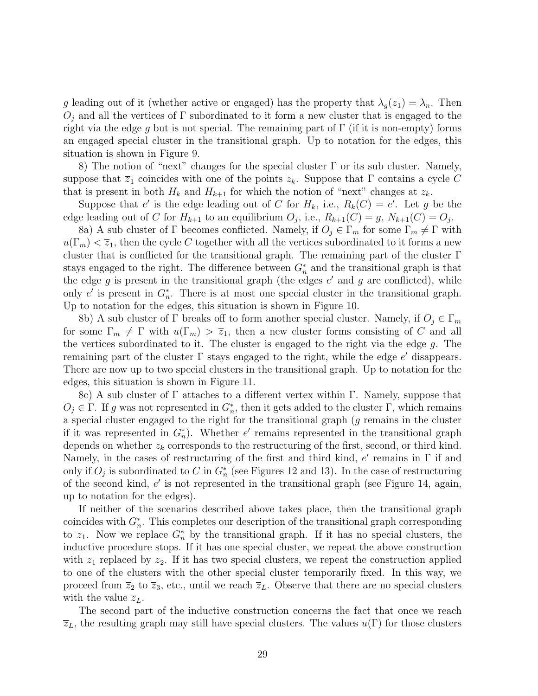g leading out of it (whether active or engaged) has the property that  $\lambda_q(\overline{z}_1) = \lambda_n$ . Then  $O_i$  and all the vertices of  $\Gamma$  subordinated to it form a new cluster that is engaged to the right via the edge g but is not special. The remaining part of  $\Gamma$  (if it is non-empty) forms an engaged special cluster in the transitional graph. Up to notation for the edges, this situation is shown in Figure 9.

8) The notion of "next" changes for the special cluster Γ or its sub cluster. Namely, suppose that  $\overline{z}_1$  coincides with one of the points  $z_k$ . Suppose that Γ contains a cycle C that is present in both  $H_k$  and  $H_{k+1}$  for which the notion of "next" changes at  $z_k$ .

Suppose that e' is the edge leading out of C for  $H_k$ , i.e.,  $R_k(C) = e'$ . Let g be the edge leading out of C for  $H_{k+1}$  to an equilibrium  $O_j$ , i.e.,  $R_{k+1}(C) = g$ ,  $N_{k+1}(C) = O_j$ .

8a) A sub cluster of  $\Gamma$  becomes conflicted. Namely, if  $O_i \in \Gamma_m$  for some  $\Gamma_m \neq \Gamma$  with  $u(\Gamma_m) < \overline{z}_1$ , then the cycle C together with all the vertices subordinated to it forms a new cluster that is conflicted for the transitional graph. The remaining part of the cluster Γ stays engaged to the right. The difference between  $G_n^*$  and the transitional graph is that the edge  $g$  is present in the transitional graph (the edges  $e'$  and  $g$  are conflicted), while only e' is present in  $G_n^*$ . There is at most one special cluster in the transitional graph. Up to notation for the edges, this situation is shown in Figure 10.

8b) A sub cluster of Γ breaks off to form another special cluster. Namely, if  $O_j \in \Gamma_m$ for some  $\Gamma_m \neq \Gamma$  with  $u(\Gamma_m) > \overline{z}_1$ , then a new cluster forms consisting of C and all the vertices subordinated to it. The cluster is engaged to the right via the edge g. The remaining part of the cluster  $\Gamma$  stays engaged to the right, while the edge  $e'$  disappears. There are now up to two special clusters in the transitional graph. Up to notation for the edges, this situation is shown in Figure 11.

8c) A sub cluster of Γ attaches to a different vertex within Γ. Namely, suppose that  $O_j \in \Gamma$ . If g was not represented in  $G_n^*$ , then it gets added to the cluster  $\Gamma$ , which remains a special cluster engaged to the right for the transitional graph (g remains in the cluster if it was represented in  $G_n^*$ ). Whether e' remains represented in the transitional graph depends on whether  $z_k$  corresponds to the restructuring of the first, second, or third kind. Namely, in the cases of restructuring of the first and third kind,  $e'$  remains in  $\Gamma$  if and only if  $O_j$  is subordinated to C in  $G_n^*$  (see Figures 12 and 13). In the case of restructuring of the second kind,  $e'$  is not represented in the transitional graph (see Figure 14, again, up to notation for the edges).

If neither of the scenarios described above takes place, then the transitional graph coincides with  $G_n^*$ . This completes our description of the transitional graph corresponding to  $\overline{z}_1$ . Now we replace  $G_n^*$  by the transitional graph. If it has no special clusters, the inductive procedure stops. If it has one special cluster, we repeat the above construction with  $\overline{z}_1$  replaced by  $\overline{z}_2$ . If it has two special clusters, we repeat the construction applied to one of the clusters with the other special cluster temporarily fixed. In this way, we proceed from  $\overline{z}_2$  to  $\overline{z}_3$ , etc., until we reach  $\overline{z}_L$ . Observe that there are no special clusters with the value  $\overline{z}_L$ .

The second part of the inductive construction concerns the fact that once we reach  $\overline{z}_L$ , the resulting graph may still have special clusters. The values  $u(\Gamma)$  for those clusters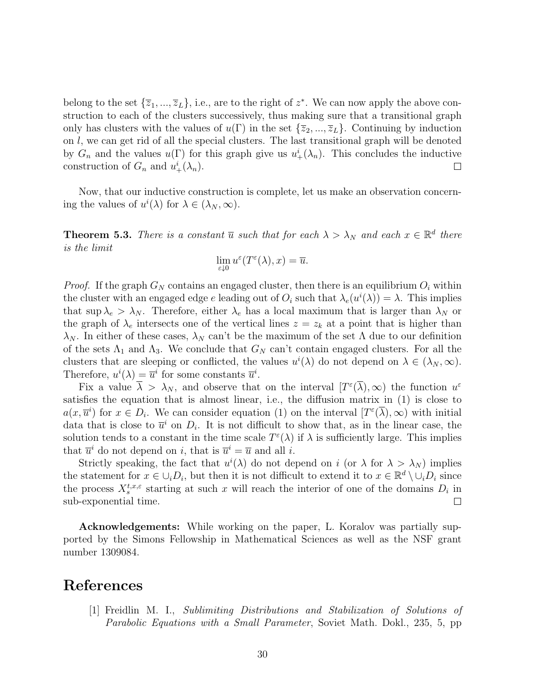belong to the set  $\{\overline{z}_1, ..., \overline{z}_L\}$ , i.e., are to the right of  $z^*$ . We can now apply the above construction to each of the clusters successively, thus making sure that a transitional graph only has clusters with the values of  $u(\Gamma)$  in the set  $\{\overline{z}_2, ..., \overline{z}_L\}$ . Continuing by induction on l, we can get rid of all the special clusters. The last transitional graph will be denoted by  $G_n$  and the values  $u(\Gamma)$  for this graph give us  $u^i_+(\lambda_n)$ . This concludes the inductive construction of  $G_n$  and  $u^i_+(\lambda_n)$ .  $\Box$ 

Now, that our inductive construction is complete, let us make an observation concerning the values of  $u^{i}(\lambda)$  for  $\lambda \in (\lambda_{N}, \infty)$ .

**Theorem 5.3.** There is a constant  $\overline{u}$  such that for each  $\lambda > \lambda_N$  and each  $x \in \mathbb{R}^d$  there is the limit

$$
\lim_{\varepsilon \downarrow 0} u^{\varepsilon}(T^{\varepsilon}(\lambda), x) = \overline{u}.
$$

*Proof.* If the graph  $G_N$  contains an engaged cluster, then there is an equilibrium  $O_i$  within the cluster with an engaged edge e leading out of  $O_i$  such that  $\lambda_e(u^i(\lambda)) = \lambda$ . This implies that sup  $\lambda_e > \lambda_N$ . Therefore, either  $\lambda_e$  has a local maximum that is larger than  $\lambda_N$  or the graph of  $\lambda_e$  intersects one of the vertical lines  $z = z_k$  at a point that is higher than  $\lambda_N$ . In either of these cases,  $\lambda_N$  can't be the maximum of the set Λ due to our definition of the sets  $\Lambda_1$  and  $\Lambda_3$ . We conclude that  $G_N$  can't contain engaged clusters. For all the clusters that are sleeping or conflicted, the values  $u^{i}(\lambda)$  do not depend on  $\lambda \in (\lambda_{N}, \infty)$ . Therefore,  $u^{i}(\lambda) = \overline{u}^{i}$  for some constants  $\overline{u}^{i}$ .

Fix a value  $\bar{\lambda} > \lambda_N$ , and observe that on the interval  $[T^{\epsilon}(\bar{\lambda}), \infty)$  the function  $u^{\epsilon}$ satisfies the equation that is almost linear, i.e., the diffusion matrix in (1) is close to  $a(x, \overline{u}^i)$  for  $x \in D_i$ . We can consider equation (1) on the interval  $[T^{\varepsilon}(\overline{\lambda}), \infty)$  with initial data that is close to  $\bar{u}^i$  on  $D_i$ . It is not difficult to show that, as in the linear case, the solution tends to a constant in the time scale  $T^{\varepsilon}(\lambda)$  if  $\lambda$  is sufficiently large. This implies that  $\overline{u}^i$  do not depend on *i*, that is  $\overline{u}^i = \overline{u}$  and all *i*.

Strictly speaking, the fact that  $u^{i}(\lambda)$  do not depend on i (or  $\lambda$  for  $\lambda > \lambda_{N}$ ) implies the statement for  $x \in \bigcup_i D_i$ , but then it is not difficult to extend it to  $x \in \mathbb{R}^d \setminus \bigcup_i D_i$  since the process  $X_s^{t,x,\varepsilon}$  starting at such x will reach the interior of one of the domains  $D_i$  in sub-exponential time.  $\Box$ 

Acknowledgements: While working on the paper, L. Koralov was partially supported by the Simons Fellowship in Mathematical Sciences as well as the NSF grant number 1309084.

### References

[1] Freidlin M. I., Sublimiting Distributions and Stabilization of Solutions of Parabolic Equations with a Small Parameter, Soviet Math. Dokl., 235, 5, pp